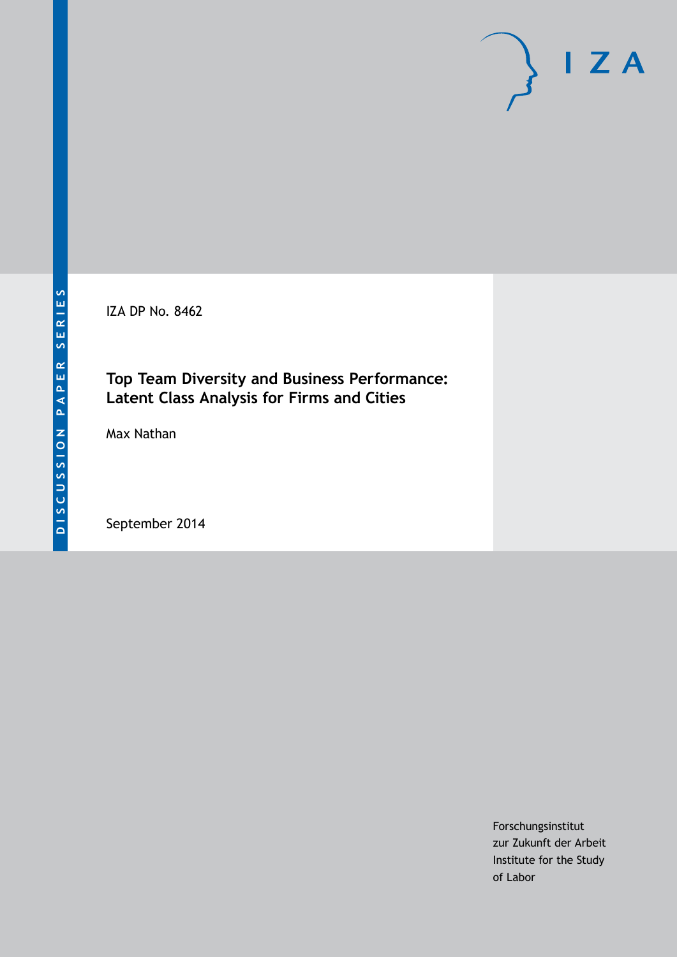IZA DP No. 8462

# **Top Team Diversity and Business Performance: Latent Class Analysis for Firms and Cities**

Max Nathan

September 2014

Forschungsinstitut zur Zukunft der Arbeit Institute for the Study of Labor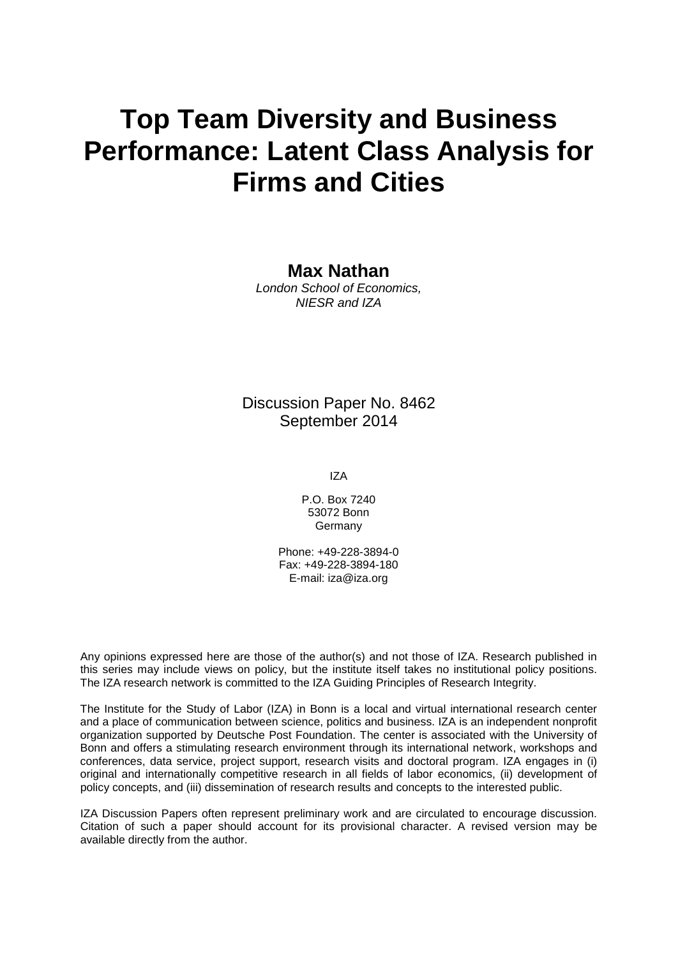# **Top Team Diversity and Business Performance: Latent Class Analysis for Firms and Cities**

### **Max Nathan**

*London School of Economics, NIESR and IZA*

# Discussion Paper No. 8462 September 2014

IZA

P.O. Box 7240 53072 Bonn Germany

Phone: +49-228-3894-0 Fax: +49-228-3894-180 E-mail: [iza@iza.org](mailto:iza@iza.org)

Any opinions expressed here are those of the author(s) and not those of IZA. Research published in this series may include views on policy, but the institute itself takes no institutional policy positions. The IZA research network is committed to the IZA Guiding Principles of Research Integrity.

The Institute for the Study of Labor (IZA) in Bonn is a local and virtual international research center and a place of communication between science, politics and business. IZA is an independent nonprofit organization supported by Deutsche Post Foundation. The center is associated with the University of Bonn and offers a stimulating research environment through its international network, workshops and conferences, data service, project support, research visits and doctoral program. IZA engages in (i) original and internationally competitive research in all fields of labor economics, (ii) development of policy concepts, and (iii) dissemination of research results and concepts to the interested public.

<span id="page-1-0"></span>IZA Discussion Papers often represent preliminary work and are circulated to encourage discussion. Citation of such a paper should account for its provisional character. A revised version may be available directly from the author.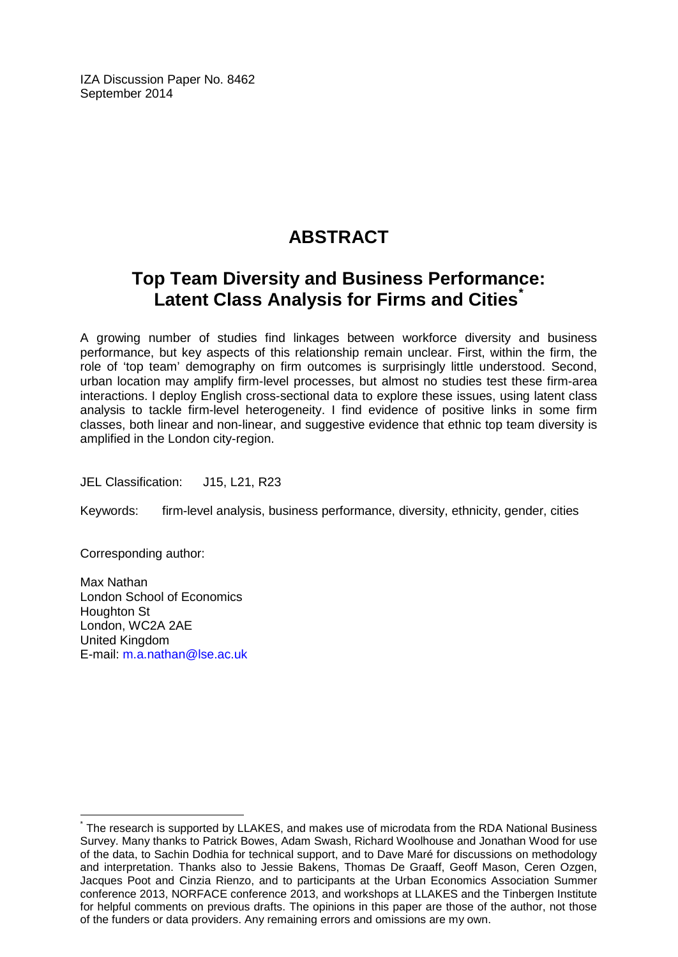IZA Discussion Paper No. 8462 September 2014

# **ABSTRACT**

# **Top Team Diversity and Business Performance: Latent Class Analysis for Firms and Cities[\\*](#page-1-0)**

A growing number of studies find linkages between workforce diversity and business performance, but key aspects of this relationship remain unclear. First, within the firm, the role of 'top team' demography on firm outcomes is surprisingly little understood. Second, urban location may amplify firm-level processes, but almost no studies test these firm-area interactions. I deploy English cross-sectional data to explore these issues, using latent class analysis to tackle firm-level heterogeneity. I find evidence of positive links in some firm classes, both linear and non-linear, and suggestive evidence that ethnic top team diversity is amplified in the London city-region.

JEL Classification: J15, L21, R23

Keywords: firm-level analysis, business performance, diversity, ethnicity, gender, cities

Corresponding author:

Max Nathan London School of Economics Houghton St London, WC2A 2AE United Kingdom E-mail: [m.a.nathan@lse.ac.uk](mailto:m.a.nathan@lse.ac.uk)

The research is supported by LLAKES, and makes use of microdata from the RDA National Business Survey. Many thanks to Patrick Bowes, Adam Swash, Richard Woolhouse and Jonathan Wood for use of the data, to Sachin Dodhia for technical support, and to Dave Maré for discussions on methodology and interpretation. Thanks also to Jessie Bakens, Thomas De Graaff, Geoff Mason, Ceren Ozgen, Jacques Poot and Cinzia Rienzo, and to participants at the Urban Economics Association Summer conference 2013, NORFACE conference 2013, and workshops at LLAKES and the Tinbergen Institute for helpful comments on previous drafts. The opinions in this paper are those of the author, not those of the funders or data providers. Any remaining errors and omissions are my own.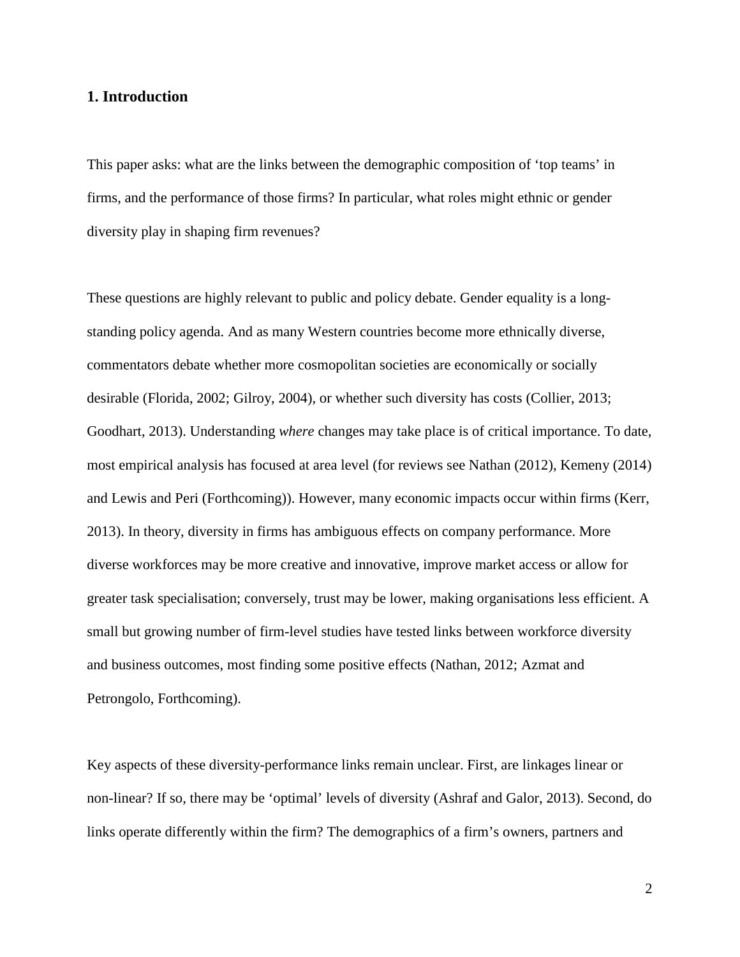#### **1. Introduction**

This paper asks: what are the links between the demographic composition of 'top teams' in firms, and the performance of those firms? In particular, what roles might ethnic or gender diversity play in shaping firm revenues?

These questions are highly relevant to public and policy debate. Gender equality is a longstanding policy agenda. And as many Western countries become more ethnically diverse, commentators debate whether more cosmopolitan societies are economically or socially desirable [\(Florida, 2002;](#page-36-0) [Gilroy, 2004\)](#page-36-1), or whether such diversity has costs [\(Collier, 2013;](#page-36-2) [Goodhart, 2013\)](#page-37-0). Understanding *where* changes may take place is of critical importance. To date, most empirical analysis has focused at area level (for reviews see Nathan [\(2012\)](#page-37-1), Kemeny [\(2014\)](#page-37-2) and Lewis and Peri [\(Forthcoming\)](#page-37-3)). However, many economic impacts occur within firms [\(Kerr,](#page-37-4)  [2013\)](#page-37-4). In theory, diversity in firms has ambiguous effects on company performance. More diverse workforces may be more creative and innovative, improve market access or allow for greater task specialisation; conversely, trust may be lower, making organisations less efficient. A small but growing number of firm-level studies have tested links between workforce diversity and business outcomes, most finding some positive effects [\(Nathan, 2012;](#page-37-1) [Azmat and](#page-36-3)  [Petrongolo, Forthcoming\)](#page-36-3).

Key aspects of these diversity-performance links remain unclear. First, are linkages linear or non-linear? If so, there may be 'optimal' levels of diversity [\(Ashraf and Galor, 2013\)](#page-36-4). Second, do links operate differently within the firm? The demographics of a firm's owners, partners and

2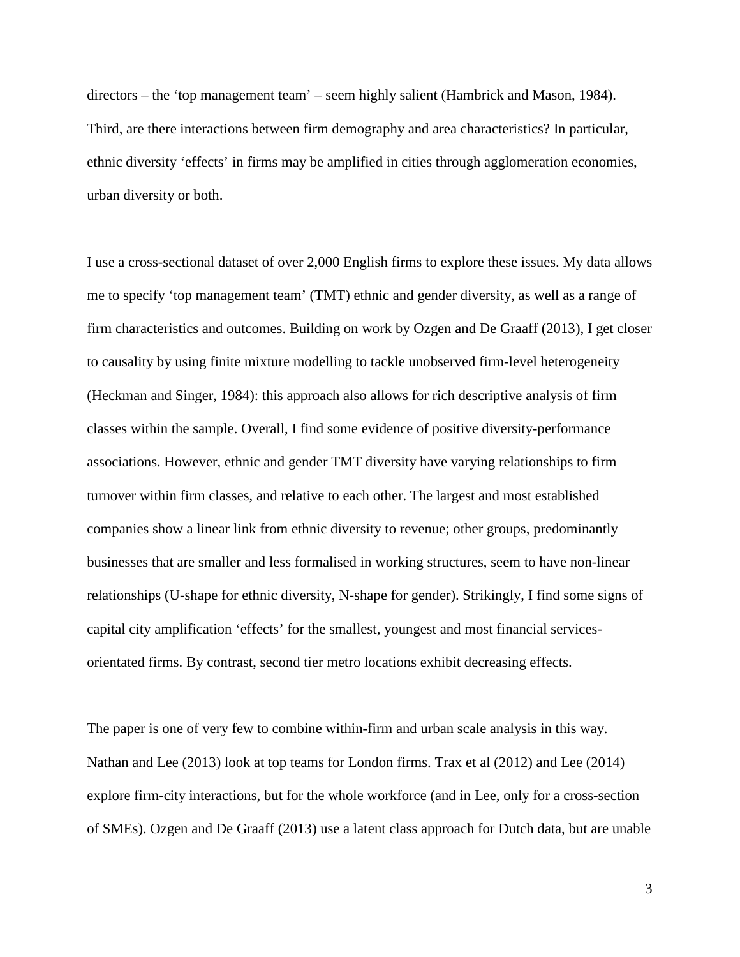directors – the 'top management team' – seem highly salient [\(Hambrick and Mason, 1984\)](#page-37-5). Third, are there interactions between firm demography and area characteristics? In particular, ethnic diversity 'effects' in firms may be amplified in cities through agglomeration economies, urban diversity or both.

I use a cross-sectional dataset of over 2,000 English firms to explore these issues. My data allows me to specify 'top management team' (TMT) ethnic and gender diversity, as well as a range of firm characteristics and outcomes. Building on work by Ozgen and De Graaff [\(2013\)](#page-38-0), I get closer to causality by using finite mixture modelling to tackle unobserved firm-level heterogeneity [\(Heckman and Singer, 1984\)](#page-37-6): this approach also allows for rich descriptive analysis of firm classes within the sample. Overall, I find some evidence of positive diversity-performance associations. However, ethnic and gender TMT diversity have varying relationships to firm turnover within firm classes, and relative to each other. The largest and most established companies show a linear link from ethnic diversity to revenue; other groups, predominantly businesses that are smaller and less formalised in working structures, seem to have non-linear relationships (U-shape for ethnic diversity, N-shape for gender). Strikingly, I find some signs of capital city amplification 'effects' for the smallest, youngest and most financial servicesorientated firms. By contrast, second tier metro locations exhibit decreasing effects.

The paper is one of very few to combine within-firm and urban scale analysis in this way. Nathan and Lee [\(2013\)](#page-37-7) look at top teams for London firms. Trax et al [\(2012\)](#page-38-1) and Lee [\(2014\)](#page-37-8) explore firm-city interactions, but for the whole workforce (and in Lee, only for a cross-section of SMEs). Ozgen and De Graaff [\(2013\)](#page-38-0) use a latent class approach for Dutch data, but are unable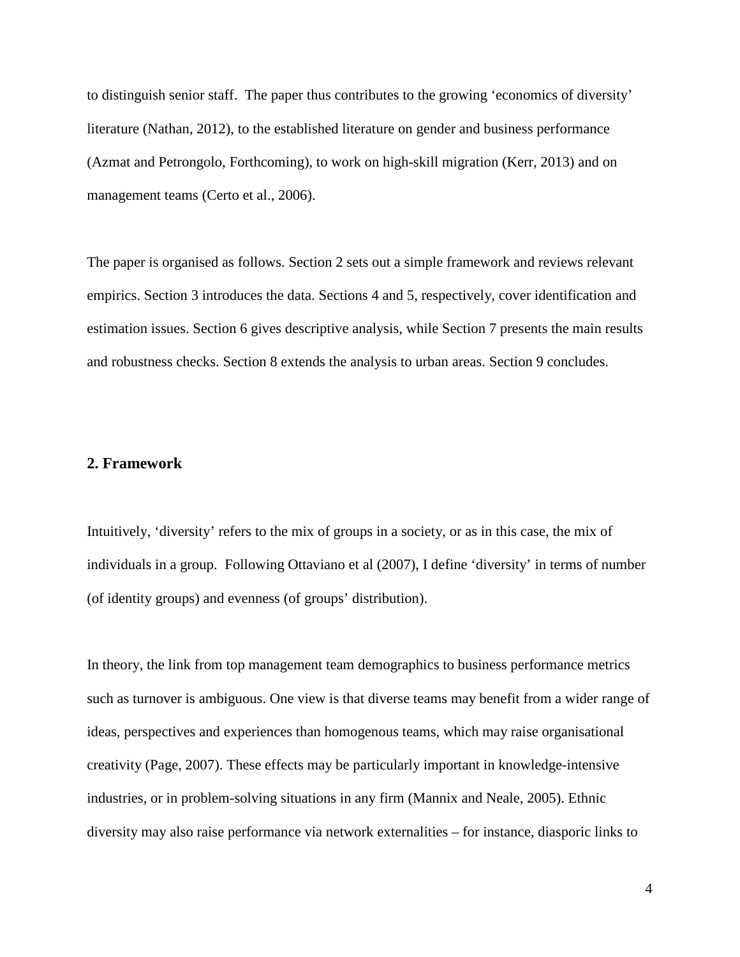to distinguish senior staff. The paper thus contributes to the growing 'economics of diversity' literature [\(Nathan, 2012\)](#page-37-1), to the established literature on gender and business performance [\(Azmat and Petrongolo, Forthcoming\)](#page-36-3), to work on high-skill migration [\(Kerr, 2013\)](#page-37-4) and on management teams [\(Certo et al., 2006\)](#page-36-5).

The paper is organised as follows. Section 2 sets out a simple framework and reviews relevant empirics. Section 3 introduces the data. Sections 4 and 5, respectively, cover identification and estimation issues. Section 6 gives descriptive analysis, while Section 7 presents the main results and robustness checks. Section 8 extends the analysis to urban areas. Section 9 concludes.

#### **2. Framework**

Intuitively, 'diversity' refers to the mix of groups in a society, or as in this case, the mix of individuals in a group. Following Ottaviano et al [\(2007\)](#page-38-2), I define 'diversity' in terms of number (of identity groups) and evenness (of groups' distribution).

In theory, the link from top management team demographics to business performance metrics such as turnover is ambiguous. One view is that diverse teams may benefit from a wider range of ideas, perspectives and experiences than homogenous teams, which may raise organisational creativity [\(Page, 2007\)](#page-38-3). These effects may be particularly important in knowledge-intensive industries, or in problem-solving situations in any firm [\(Mannix and Neale, 2005\)](#page-37-9). Ethnic diversity may also raise performance via network externalities – for instance, diasporic links to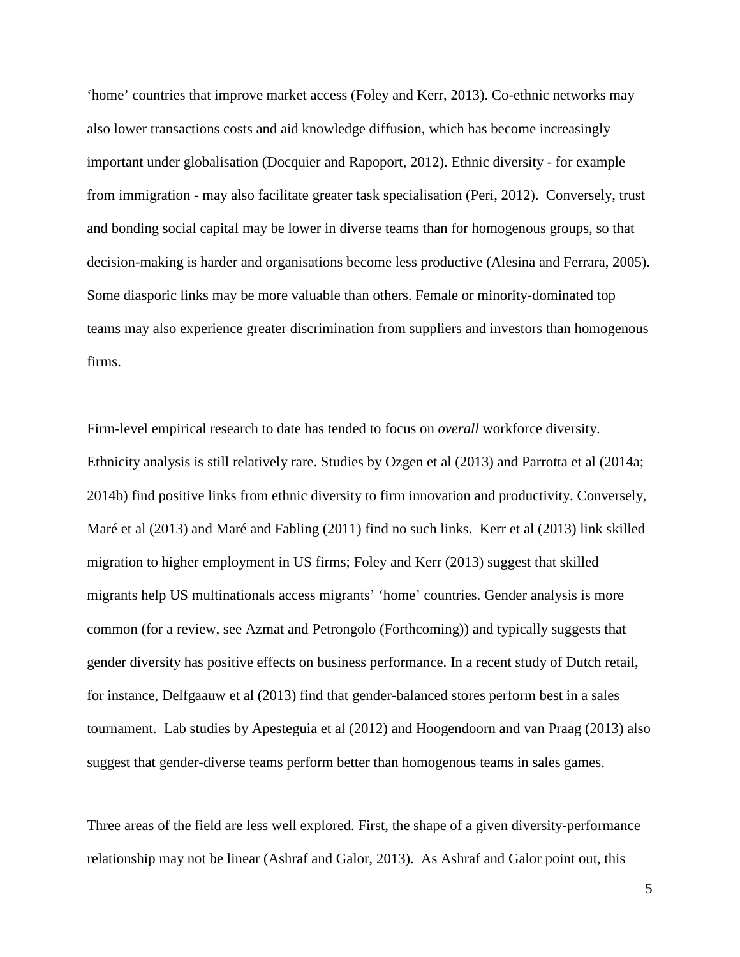'home' countries that improve market access [\(Foley and Kerr, 2013\)](#page-36-6). Co-ethnic networks may also lower transactions costs and aid knowledge diffusion, which has become increasingly important under globalisation [\(Docquier and Rapoport, 2012\)](#page-36-7). Ethnic diversity - for example from immigration - may also facilitate greater task specialisation [\(Peri, 2012\)](#page-38-4). Conversely, trust and bonding social capital may be lower in diverse teams than for homogenous groups, so that decision-making is harder and organisations become less productive [\(Alesina and Ferrara, 2005\)](#page-36-8). Some diasporic links may be more valuable than others. Female or minority-dominated top teams may also experience greater discrimination from suppliers and investors than homogenous firms.

Firm-level empirical research to date has tended to focus on *overall* workforce diversity. Ethnicity analysis is still relatively rare. Studies by Ozgen et al [\(2013\)](#page-38-5) and Parrotta et al [\(2014a;](#page-38-6) [2014b\)](#page-38-7) find positive links from ethnic diversity to firm innovation and productivity. Conversely, Maré et al [\(2013\)](#page-37-10) and Maré and Fabling [\(2011\)](#page-37-11) find no such links. Kerr et al [\(2013\)](#page-37-12) link skilled migration to higher employment in US firms; Foley and Kerr [\(2013\)](#page-36-6) suggest that skilled migrants help US multinationals access migrants' 'home' countries. Gender analysis is more common (for a review, see Azmat and Petrongolo [\(Forthcoming\)](#page-36-3)) and typically suggests that gender diversity has positive effects on business performance. In a recent study of Dutch retail, for instance, Delfgaauw et al [\(2013\)](#page-36-9) find that gender-balanced stores perform best in a sales tournament. Lab studies by Apesteguia et al [\(2012\)](#page-36-10) and Hoogendoorn and van Praag [\(2013\)](#page-37-13) also suggest that gender-diverse teams perform better than homogenous teams in sales games.

Three areas of the field are less well explored. First, the shape of a given diversity-performance relationship may not be linear [\(Ashraf and Galor, 2013\)](#page-36-4). As Ashraf and Galor point out, this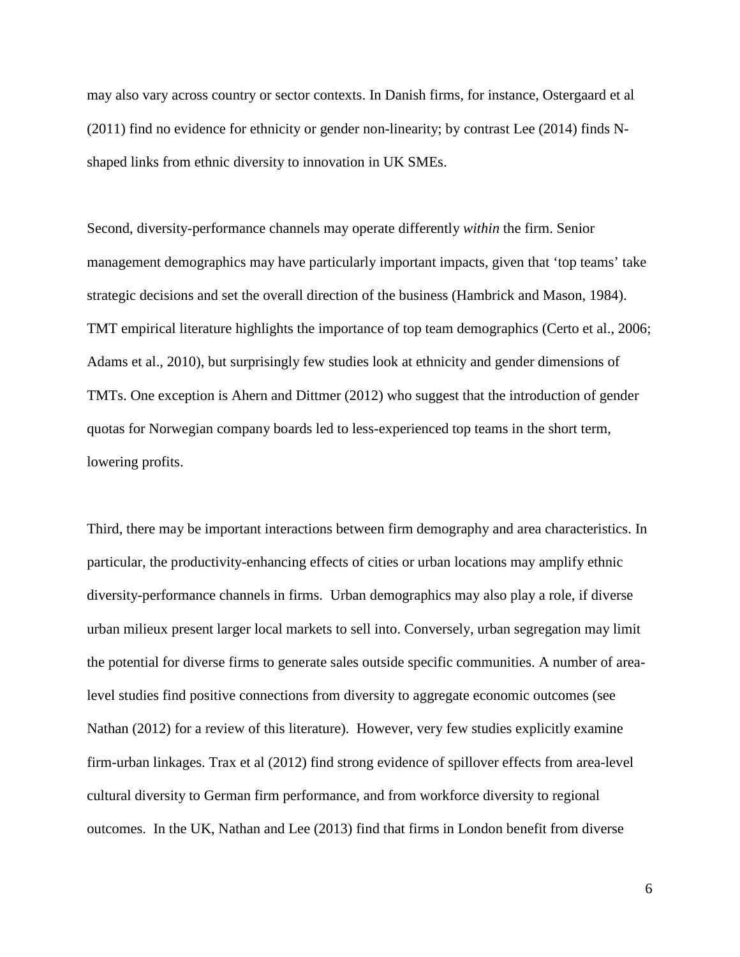may also vary across country or sector contexts. In Danish firms, for instance, Ostergaard et al [\(2011\)](#page-38-8) find no evidence for ethnicity or gender non-linearity; by contrast Lee [\(2014\)](#page-37-8) finds Nshaped links from ethnic diversity to innovation in UK SMEs.

Second, diversity-performance channels may operate differently *within* the firm. Senior management demographics may have particularly important impacts, given that 'top teams' take strategic decisions and set the overall direction of the business [\(Hambrick and Mason, 1984\)](#page-37-5). TMT empirical literature highlights the importance of top team demographics [\(Certo et al., 2006;](#page-36-5) [Adams et al., 2010\)](#page-36-11), but surprisingly few studies look at ethnicity and gender dimensions of TMTs. One exception is Ahern and Dittmer [\(2012\)](#page-36-12) who suggest that the introduction of gender quotas for Norwegian company boards led to less-experienced top teams in the short term, lowering profits.

Third, there may be important interactions between firm demography and area characteristics. In particular, the productivity-enhancing effects of cities or urban locations may amplify ethnic diversity-performance channels in firms. Urban demographics may also play a role, if diverse urban milieux present larger local markets to sell into. Conversely, urban segregation may limit the potential for diverse firms to generate sales outside specific communities. A number of arealevel studies find positive connections from diversity to aggregate economic outcomes (see Nathan [\(2012\)](#page-37-1) for a review of this literature). However, very few studies explicitly examine firm-urban linkages. Trax et al [\(2012\)](#page-38-1) find strong evidence of spillover effects from area-level cultural diversity to German firm performance, and from workforce diversity to regional outcomes. In the UK, Nathan and Lee [\(2013\)](#page-37-7) find that firms in London benefit from diverse

6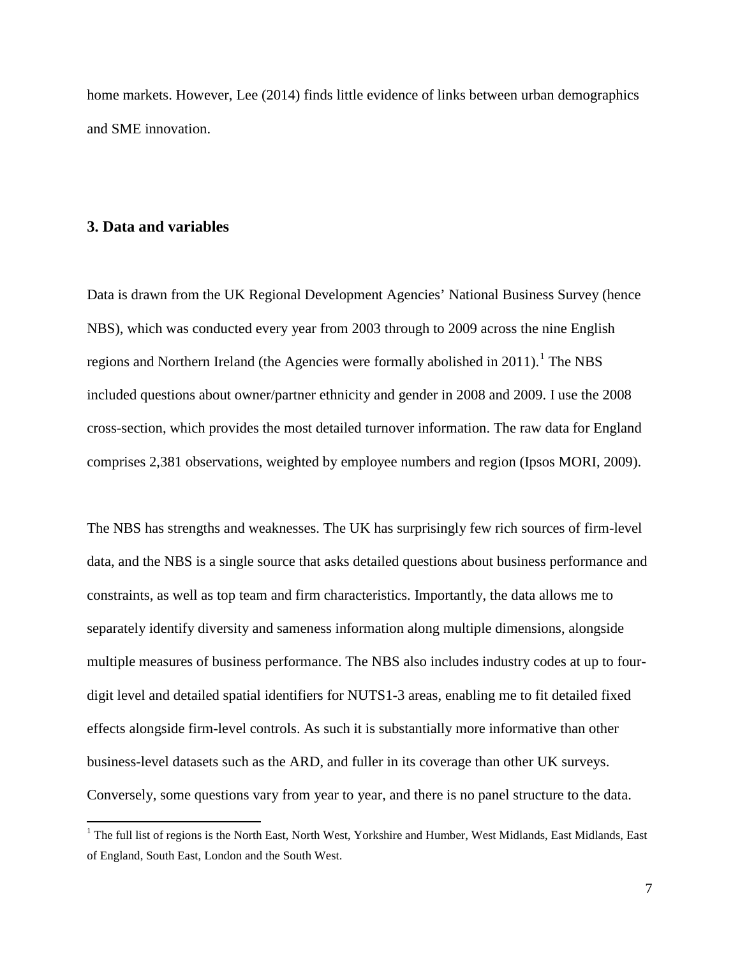home markets. However, Lee [\(2014\)](#page-37-8) finds little evidence of links between urban demographics and SME innovation.

#### **3. Data and variables**

Data is drawn from the UK Regional Development Agencies' National Business Survey (hence NBS), which was conducted every year from 2003 through to 2009 across the nine English regions and Northern Ireland (the Agencies were formally abolished in  $2011$ ).<sup>1</sup> The NBS included questions about owner/partner ethnicity and gender in 2008 and 2009. I use the 2008 cross-section, which provides the most detailed turnover information. The raw data for England comprises 2,381 observations, weighted by employee numbers and region [\(Ipsos MORI, 2009\)](#page-37-14).

The NBS has strengths and weaknesses. The UK has surprisingly few rich sources of firm-level data, and the NBS is a single source that asks detailed questions about business performance and constraints, as well as top team and firm characteristics. Importantly, the data allows me to separately identify diversity and sameness information along multiple dimensions, alongside multiple measures of business performance. The NBS also includes industry codes at up to fourdigit level and detailed spatial identifiers for NUTS1-3 areas, enabling me to fit detailed fixed effects alongside firm-level controls. As such it is substantially more informative than other business-level datasets such as the ARD, and fuller in its coverage than other UK surveys. Conversely, some questions vary from year to year, and there is no panel structure to the data.

<span id="page-8-0"></span><sup>&</sup>lt;sup>1</sup> The full list of regions is the North East, North West, Yorkshire and Humber, West Midlands, East Midlands, East of England, South East, London and the South West.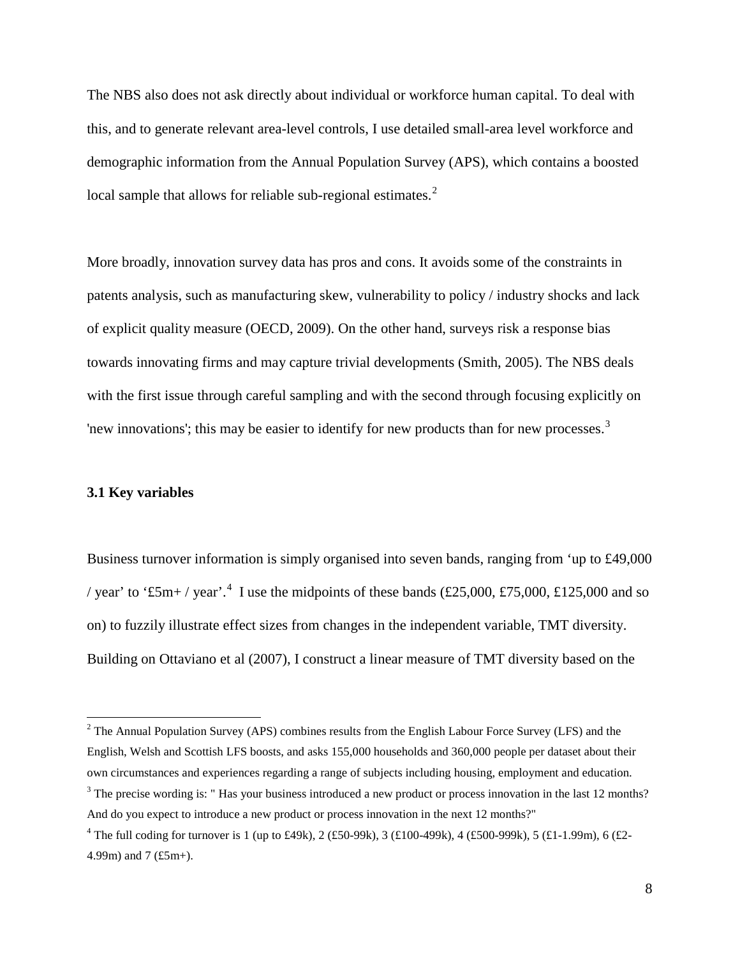The NBS also does not ask directly about individual or workforce human capital. To deal with this, and to generate relevant area-level controls, I use detailed small-area level workforce and demographic information from the Annual Population Survey (APS), which contains a boosted local sample that allows for reliable sub-regional estimates.<sup>[2](#page-8-0)</sup>

More broadly, innovation survey data has pros and cons. It avoids some of the constraints in patents analysis, such as manufacturing skew, vulnerability to policy / industry shocks and lack of explicit quality measure [\(OECD, 2009\)](#page-37-15). On the other hand, surveys risk a response bias towards innovating firms and may capture trivial developments [\(Smith, 2005\)](#page-38-9). The NBS deals with the first issue through careful sampling and with the second through focusing explicitly on 'new innovations'; this may be easier to identify for new products than for new processes.<sup>[3](#page-9-0)</sup>

#### **3.1 Key variables**

Business turnover information is simply organised into seven bands, ranging from 'up to £49,000 / year' to '£5m+ / year'.<sup>[4](#page-9-1)</sup> I use the midpoints of these bands (£25,000, £75,000, £125,000 and so on) to fuzzily illustrate effect sizes from changes in the independent variable, TMT diversity. Building on Ottaviano et al [\(2007\)](#page-38-2), I construct a linear measure of TMT diversity based on the

<span id="page-9-2"></span> $2$  The Annual Population Survey (APS) combines results from the English Labour Force Survey (LFS) and the English, Welsh and Scottish LFS boosts, and asks 155,000 households and 360,000 people per dataset about their own circumstances and experiences regarding a range of subjects including housing, employment and education. <sup>3</sup> The precise wording is: "Has your business introduced a new product or process innovation in the last 12 months? And do you expect to introduce a new product or process innovation in the next 12 months?"

<span id="page-9-1"></span><span id="page-9-0"></span><sup>&</sup>lt;sup>4</sup> The full coding for turnover is 1 (up to £49k), 2 (£50-99k), 3 (£100-499k), 4 (£500-999k), 5 (£1-1.99m), 6 (£2-4.99m) and 7 (£5m+).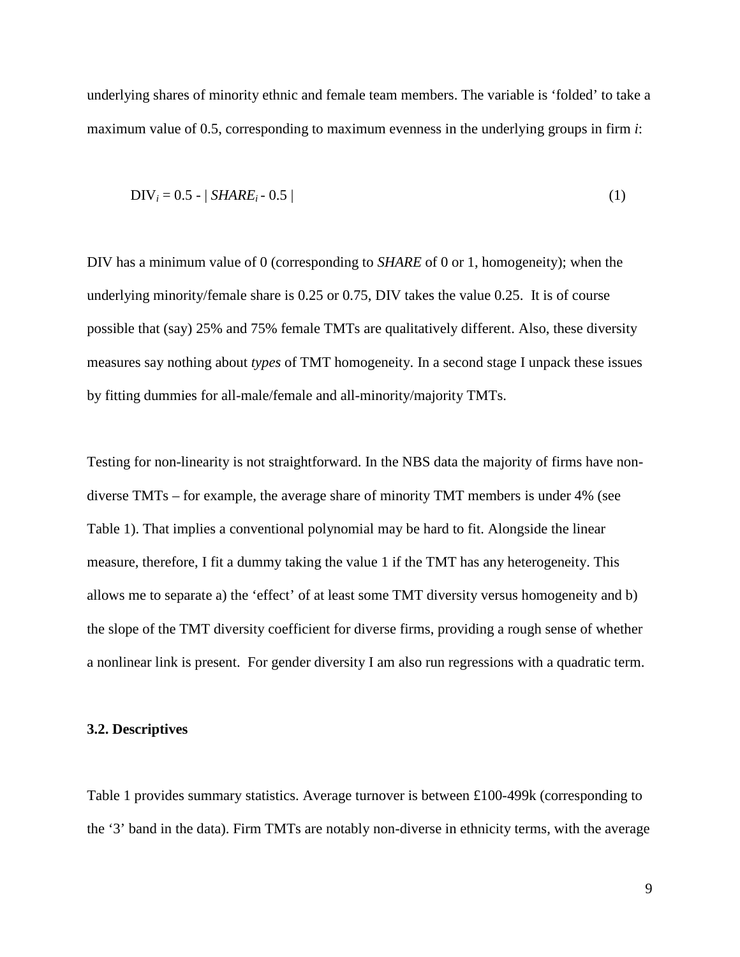underlying shares of minority ethnic and female team members. The variable is 'folded' to take a maximum value of 0.5, corresponding to maximum evenness in the underlying groups in firm *i*:

$$
DIV_i = 0.5 - | SHARE_i - 0.5 |
$$
 (1)

DIV has a minimum value of 0 (corresponding to *SHARE* of 0 or 1, homogeneity); when the underlying minority/female share is 0.25 or 0.75, DIV takes the value 0.25. It is of course possible that (say) 25% and 75% female TMTs are qualitatively different. Also, these diversity measures say nothing about *types* of TMT homogeneity. In a second stage I unpack these issues by fitting dummies for all-male/female and all-minority/majority TMTs.

Testing for non-linearity is not straightforward. In the NBS data the majority of firms have nondiverse TMTs – for example, the average share of minority TMT members is under 4% (see Table 1). That implies a conventional polynomial may be hard to fit. Alongside the linear measure, therefore, I fit a dummy taking the value 1 if the TMT has any heterogeneity. This allows me to separate a) the 'effect' of at least some TMT diversity versus homogeneity and b) the slope of the TMT diversity coefficient for diverse firms, providing a rough sense of whether a nonlinear link is present. For gender diversity I am also run regressions with a quadratic term.

#### **3.2. Descriptives**

Table 1 provides summary statistics. Average turnover is between £100-499k (corresponding to the '3' band in the data). Firm TMTs are notably non-diverse in ethnicity terms, with the average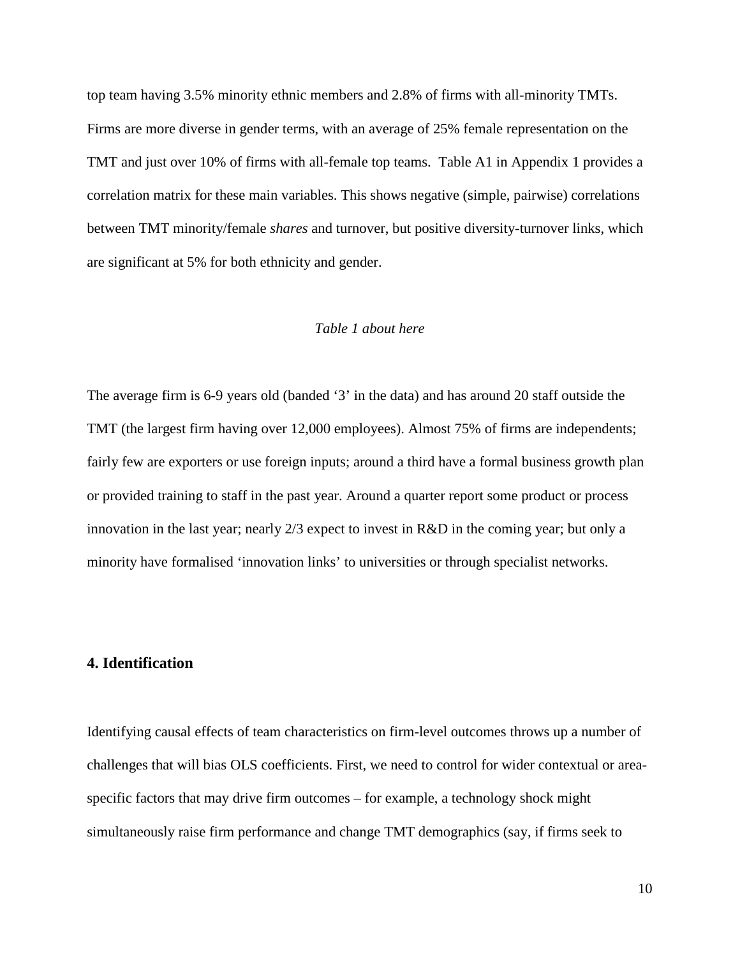top team having 3.5% minority ethnic members and 2.8% of firms with all-minority TMTs. Firms are more diverse in gender terms, with an average of 25% female representation on the TMT and just over 10% of firms with all-female top teams. Table A1 in Appendix 1 provides a correlation matrix for these main variables. This shows negative (simple, pairwise) correlations between TMT minority/female *shares* and turnover, but positive diversity-turnover links, which are significant at 5% for both ethnicity and gender.

#### *Table 1 about here*

The average firm is 6-9 years old (banded '3' in the data) and has around 20 staff outside the TMT (the largest firm having over 12,000 employees). Almost 75% of firms are independents; fairly few are exporters or use foreign inputs; around a third have a formal business growth plan or provided training to staff in the past year. Around a quarter report some product or process innovation in the last year; nearly 2/3 expect to invest in R&D in the coming year; but only a minority have formalised 'innovation links' to universities or through specialist networks.

#### **4. Identification**

Identifying causal effects of team characteristics on firm-level outcomes throws up a number of challenges that will bias OLS coefficients. First, we need to control for wider contextual or areaspecific factors that may drive firm outcomes – for example, a technology shock might simultaneously raise firm performance and change TMT demographics (say, if firms seek to

10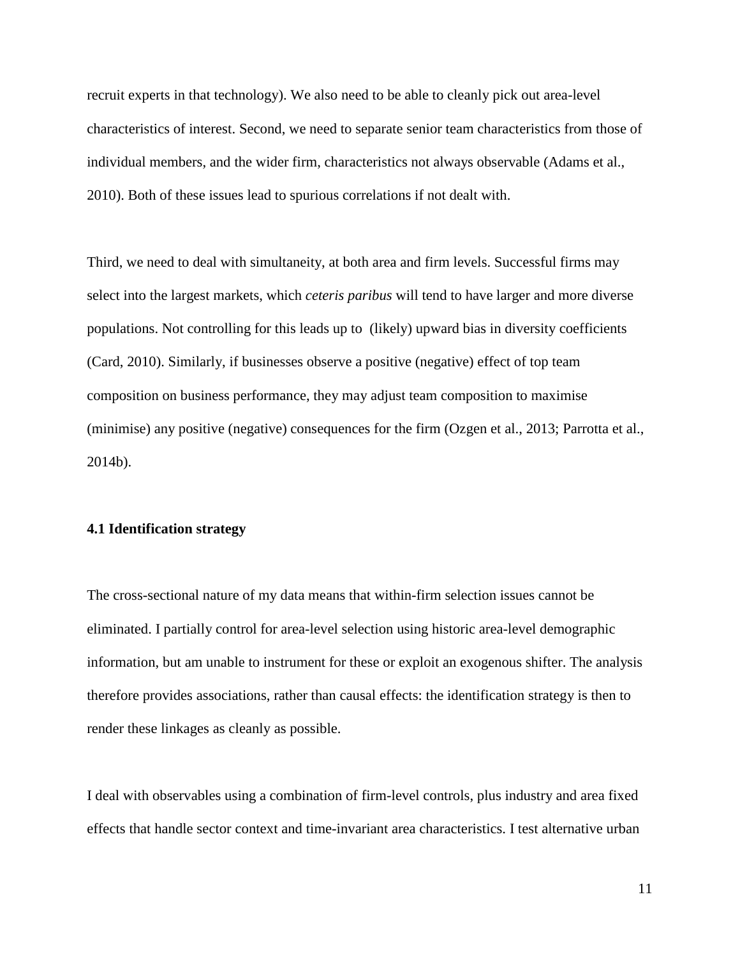recruit experts in that technology). We also need to be able to cleanly pick out area-level characteristics of interest. Second, we need to separate senior team characteristics from those of individual members, and the wider firm, characteristics not always observable [\(Adams et al.,](#page-36-11)  [2010\)](#page-36-11). Both of these issues lead to spurious correlations if not dealt with.

Third, we need to deal with simultaneity, at both area and firm levels. Successful firms may select into the largest markets, which *ceteris paribus* will tend to have larger and more diverse populations. Not controlling for this leads up to (likely) upward bias in diversity coefficients [\(Card, 2010\)](#page-36-13). Similarly, if businesses observe a positive (negative) effect of top team composition on business performance, they may adjust team composition to maximise (minimise) any positive (negative) consequences for the firm [\(Ozgen et al., 2013;](#page-38-5) [Parrotta et al.,](#page-38-7)  [2014b\)](#page-38-7).

#### **4.1 Identification strategy**

The cross-sectional nature of my data means that within-firm selection issues cannot be eliminated. I partially control for area-level selection using historic area-level demographic information, but am unable to instrument for these or exploit an exogenous shifter. The analysis therefore provides associations, rather than causal effects: the identification strategy is then to render these linkages as cleanly as possible.

I deal with observables using a combination of firm-level controls, plus industry and area fixed effects that handle sector context and time-invariant area characteristics. I test alternative urban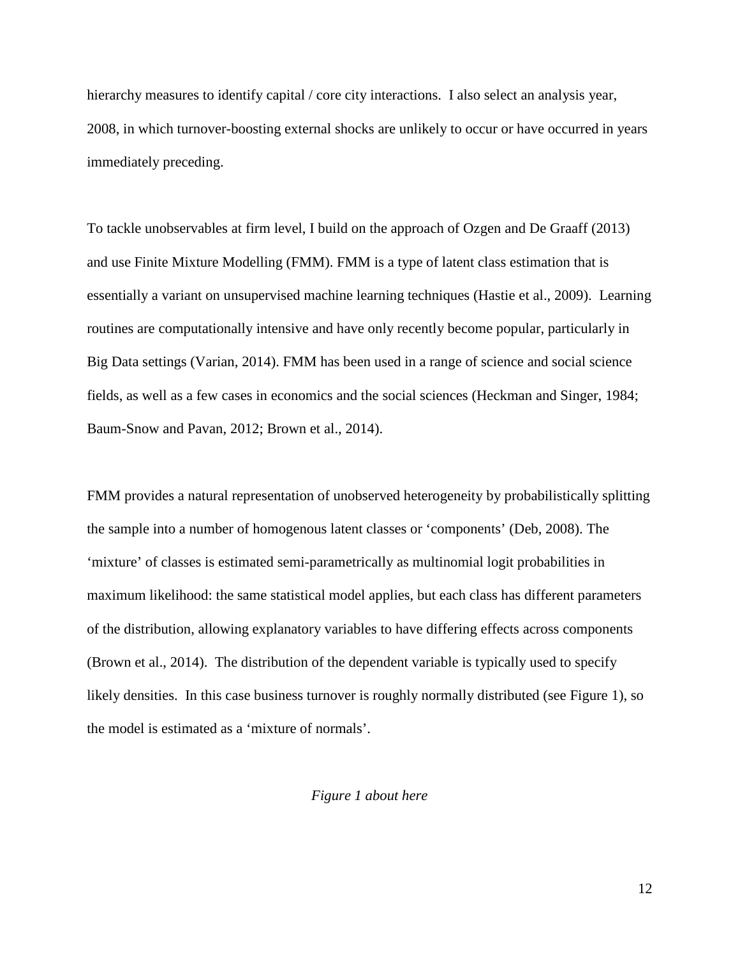hierarchy measures to identify capital / core city interactions. I also select an analysis year, 2008, in which turnover-boosting external shocks are unlikely to occur or have occurred in years immediately preceding.

To tackle unobservables at firm level, I build on the approach of Ozgen and De Graaff [\(2013\)](#page-38-0) and use Finite Mixture Modelling (FMM). FMM is a type of latent class estimation that is essentially a variant on unsupervised machine learning techniques [\(Hastie et al., 2009\)](#page-37-16). Learning routines are computationally intensive and have only recently become popular, particularly in Big Data settings [\(Varian, 2014\)](#page-38-10). FMM has been used in a range of science and social science fields, as well as a few cases in economics and the social sciences [\(Heckman and Singer, 1984;](#page-37-6) [Baum-Snow and Pavan, 2012;](#page-36-14) [Brown et al., 2014\)](#page-36-15).

FMM provides a natural representation of unobserved heterogeneity by probabilistically splitting the sample into a number of homogenous latent classes or 'components' [\(Deb, 2008\)](#page-36-16). The 'mixture' of classes is estimated semi-parametrically as multinomial logit probabilities in maximum likelihood: the same statistical model applies, but each class has different parameters of the distribution, allowing explanatory variables to have differing effects across components [\(Brown et al., 2014\)](#page-36-15). The distribution of the dependent variable is typically used to specify likely densities. In this case business turnover is roughly normally distributed (see Figure 1), so the model is estimated as a 'mixture of normals'.

#### *Figure 1 about here*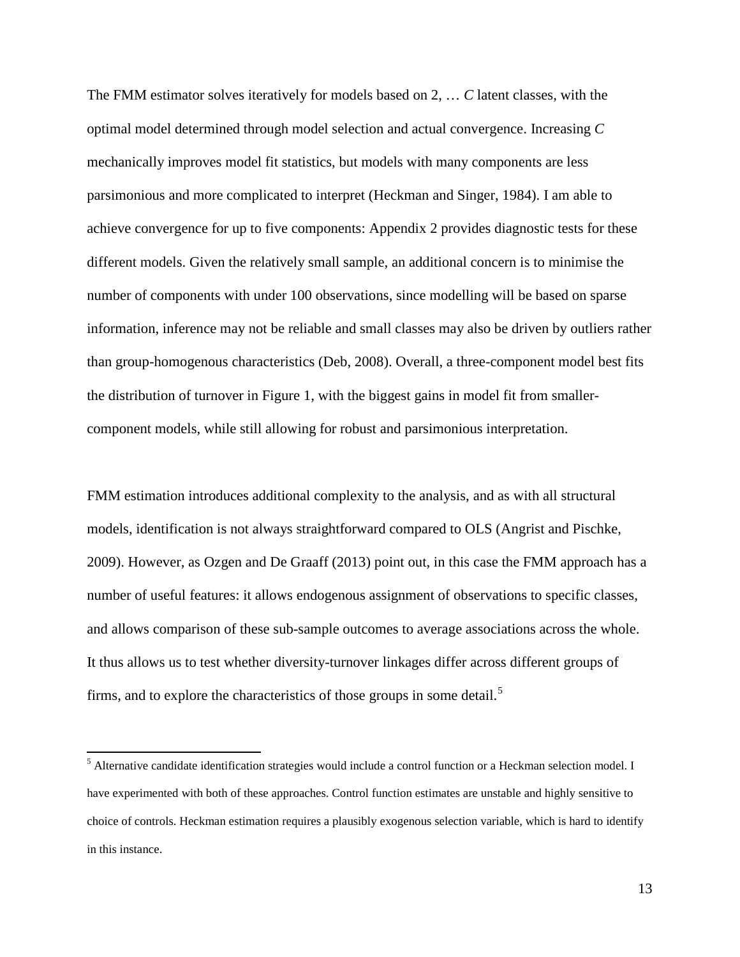The FMM estimator solves iteratively for models based on 2, … *C* latent classes, with the optimal model determined through model selection and actual convergence. Increasing *C*  mechanically improves model fit statistics, but models with many components are less parsimonious and more complicated to interpret [\(Heckman and Singer, 1984\)](#page-37-6). I am able to achieve convergence for up to five components: Appendix 2 provides diagnostic tests for these different models. Given the relatively small sample, an additional concern is to minimise the number of components with under 100 observations, since modelling will be based on sparse information, inference may not be reliable and small classes may also be driven by outliers rather than group-homogenous characteristics [\(Deb, 2008\)](#page-36-16). Overall, a three-component model best fits the distribution of turnover in Figure 1, with the biggest gains in model fit from smallercomponent models, while still allowing for robust and parsimonious interpretation.

FMM estimation introduces additional complexity to the analysis, and as with all structural models, identification is not always straightforward compared to OLS [\(Angrist and Pischke,](#page-36-17)  [2009\)](#page-36-17). However, as Ozgen and De Graaff [\(2013\)](#page-38-0) point out, in this case the FMM approach has a number of useful features: it allows endogenous assignment of observations to specific classes, and allows comparison of these sub-sample outcomes to average associations across the whole. It thus allows us to test whether diversity-turnover linkages differ across different groups of firms, and to explore the characteristics of those groups in some detail.<sup>[5](#page-9-2)</sup>

<span id="page-14-0"></span><sup>&</sup>lt;sup>5</sup> Alternative candidate identification strategies would include a control function or a Heckman selection model. I have experimented with both of these approaches. Control function estimates are unstable and highly sensitive to choice of controls. Heckman estimation requires a plausibly exogenous selection variable, which is hard to identify in this instance.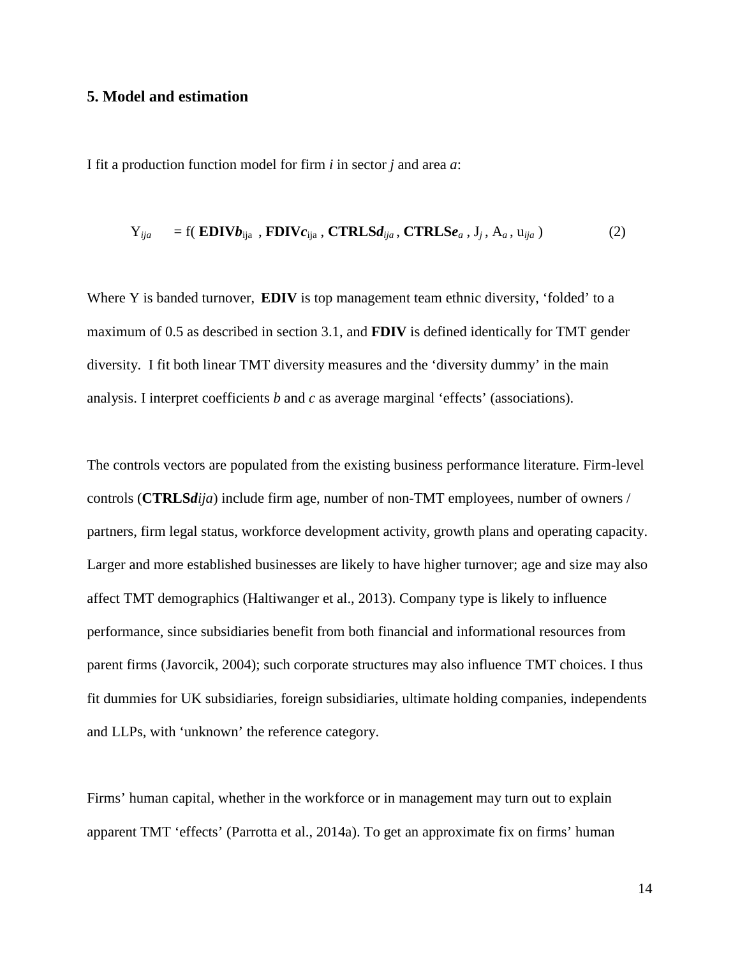#### **5. Model and estimation**

I fit a production function model for firm *i* in sector *j* and area *a*:

$$
Y_{ija} = f(\text{EDIVb}_{ija}, \text{FDIVc}_{ija}, \text{CTRLSd}_{ija}, \text{CTRLSe}_{a}, J_{j}, A_{a}, u_{ija})
$$
 (2)

Where Y is banded turnover, **EDIV** is top management team ethnic diversity, 'folded' to a maximum of 0.5 as described in section 3.1, and **FDIV** is defined identically for TMT gender diversity. I fit both linear TMT diversity measures and the 'diversity dummy' in the main analysis. I interpret coefficients *b* and *c* as average marginal 'effects' (associations).

The controls vectors are populated from the existing business performance literature. Firm-level controls (**CTRLS***dija*) include firm age, number of non-TMT employees, number of owners / partners, firm legal status, workforce development activity, growth plans and operating capacity. Larger and more established businesses are likely to have higher turnover; age and size may also affect TMT demographics [\(Haltiwanger et al., 2013\)](#page-37-17). Company type is likely to influence performance, since subsidiaries benefit from both financial and informational resources from parent firms [\(Javorcik, 2004\)](#page-37-18); such corporate structures may also influence TMT choices. I thus fit dummies for UK subsidiaries, foreign subsidiaries, ultimate holding companies, independents and LLPs, with 'unknown' the reference category.

Firms' human capital, whether in the workforce or in management may turn out to explain apparent TMT 'effects' [\(Parrotta et al., 2014a\)](#page-38-6). To get an approximate fix on firms' human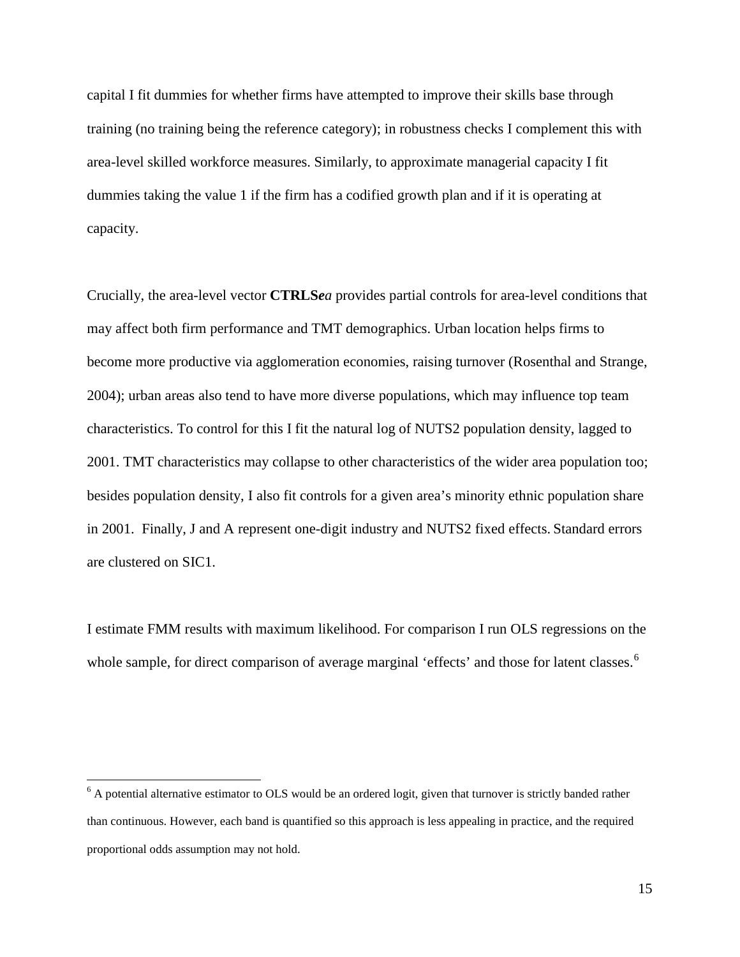capital I fit dummies for whether firms have attempted to improve their skills base through training (no training being the reference category); in robustness checks I complement this with area-level skilled workforce measures. Similarly, to approximate managerial capacity I fit dummies taking the value 1 if the firm has a codified growth plan and if it is operating at capacity.

Crucially, the area-level vector **CTRLS***ea* provides partial controls for area-level conditions that may affect both firm performance and TMT demographics. Urban location helps firms to become more productive via agglomeration economies, raising turnover [\(Rosenthal and Strange,](#page-38-11)  [2004\)](#page-38-11); urban areas also tend to have more diverse populations, which may influence top team characteristics. To control for this I fit the natural log of NUTS2 population density, lagged to 2001. TMT characteristics may collapse to other characteristics of the wider area population too; besides population density, I also fit controls for a given area's minority ethnic population share in 2001. Finally, J and A represent one-digit industry and NUTS2 fixed effects. Standard errors are clustered on SIC1.

I estimate FMM results with maximum likelihood. For comparison I run OLS regressions on the whole sample, for direct comparison of average marginal 'effects' and those for latent classes.<sup>[6](#page-14-0)</sup>

 $6$  A potential alternative estimator to OLS would be an ordered logit, given that turnover is strictly banded rather than continuous. However, each band is quantified so this approach is less appealing in practice, and the required proportional odds assumption may not hold.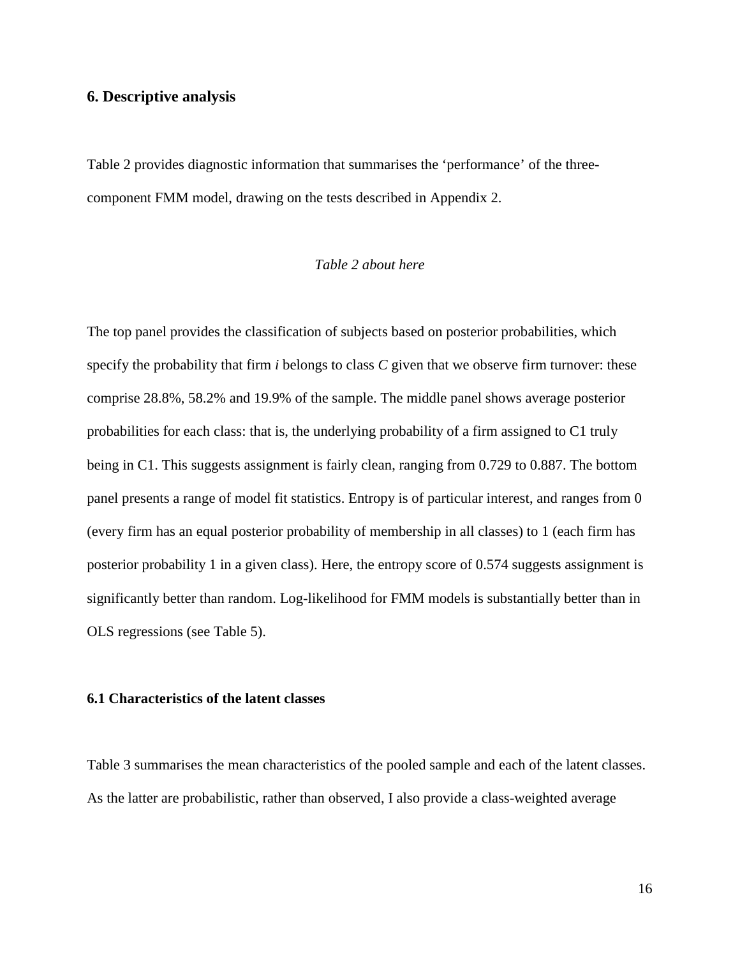#### **6. Descriptive analysis**

Table 2 provides diagnostic information that summarises the 'performance' of the threecomponent FMM model, drawing on the tests described in Appendix 2.

#### *Table 2 about here*

The top panel provides the classification of subjects based on posterior probabilities, which specify the probability that firm *i* belongs to class *C* given that we observe firm turnover: these comprise 28.8%, 58.2% and 19.9% of the sample. The middle panel shows average posterior probabilities for each class: that is, the underlying probability of a firm assigned to C1 truly being in C1. This suggests assignment is fairly clean, ranging from 0.729 to 0.887. The bottom panel presents a range of model fit statistics. Entropy is of particular interest, and ranges from 0 (every firm has an equal posterior probability of membership in all classes) to 1 (each firm has posterior probability 1 in a given class). Here, the entropy score of 0.574 suggests assignment is significantly better than random. Log-likelihood for FMM models is substantially better than in OLS regressions (see Table 5).

#### **6.1 Characteristics of the latent classes**

Table 3 summarises the mean characteristics of the pooled sample and each of the latent classes. As the latter are probabilistic, rather than observed, I also provide a class-weighted average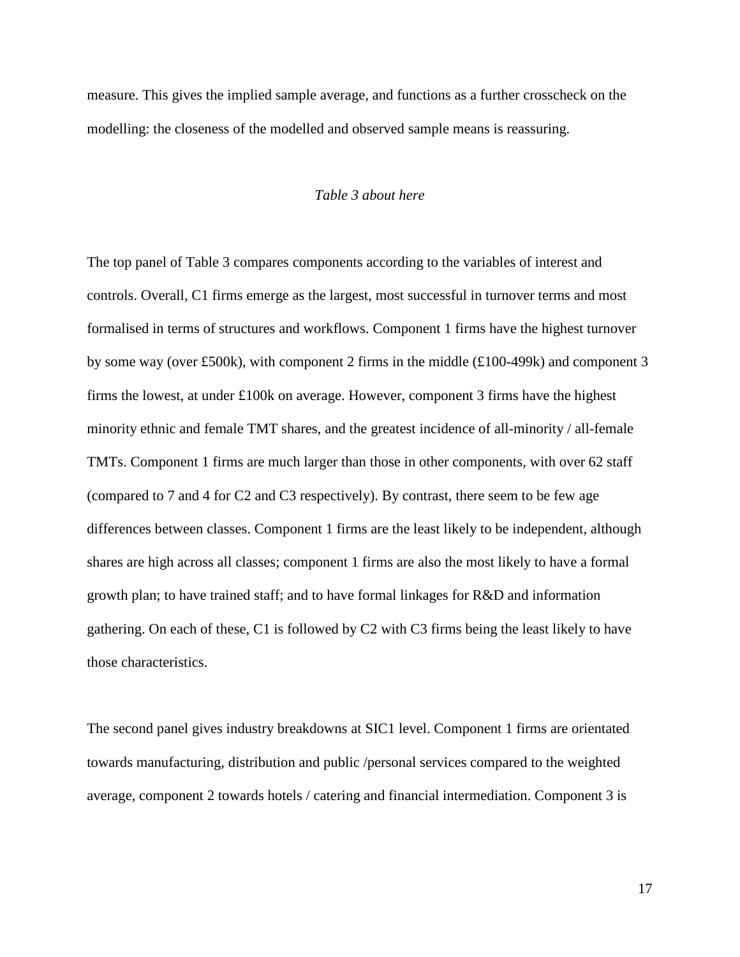measure. This gives the implied sample average, and functions as a further crosscheck on the modelling: the closeness of the modelled and observed sample means is reassuring.

#### *Table 3 about here*

The top panel of Table 3 compares components according to the variables of interest and controls. Overall, C1 firms emerge as the largest, most successful in turnover terms and most formalised in terms of structures and workflows. Component 1 firms have the highest turnover by some way (over £500k), with component 2 firms in the middle (£100-499k) and component 3 firms the lowest, at under  $\pounds$ 100k on average. However, component 3 firms have the highest minority ethnic and female TMT shares, and the greatest incidence of all-minority / all-female TMTs. Component 1 firms are much larger than those in other components, with over 62 staff (compared to 7 and 4 for C2 and C3 respectively). By contrast, there seem to be few age differences between classes. Component 1 firms are the least likely to be independent, although shares are high across all classes; component 1 firms are also the most likely to have a formal growth plan; to have trained staff; and to have formal linkages for R&D and information gathering. On each of these, C1 is followed by C2 with C3 firms being the least likely to have those characteristics.

The second panel gives industry breakdowns at SIC1 level. Component 1 firms are orientated towards manufacturing, distribution and public /personal services compared to the weighted average, component 2 towards hotels / catering and financial intermediation. Component 3 is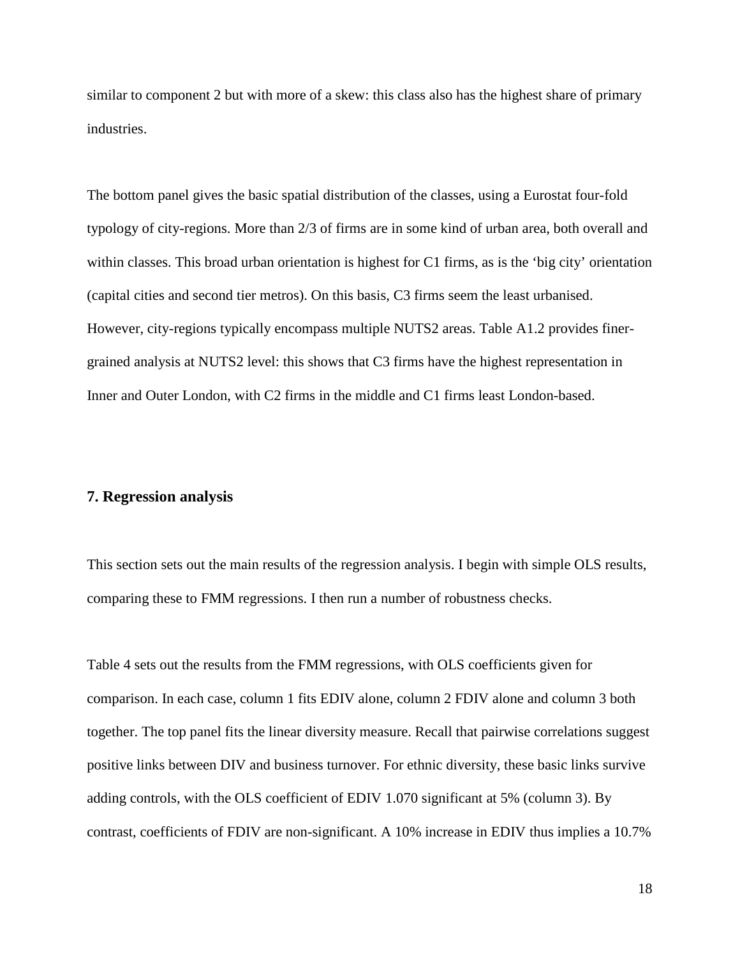similar to component 2 but with more of a skew: this class also has the highest share of primary industries.

The bottom panel gives the basic spatial distribution of the classes, using a Eurostat four-fold typology of city-regions. More than 2/3 of firms are in some kind of urban area, both overall and within classes. This broad urban orientation is highest for C1 firms, as is the 'big city' orientation (capital cities and second tier metros). On this basis, C3 firms seem the least urbanised. However, city-regions typically encompass multiple NUTS2 areas. Table A1.2 provides finergrained analysis at NUTS2 level: this shows that C3 firms have the highest representation in Inner and Outer London, with C2 firms in the middle and C1 firms least London-based.

#### **7. Regression analysis**

This section sets out the main results of the regression analysis. I begin with simple OLS results, comparing these to FMM regressions. I then run a number of robustness checks.

Table 4 sets out the results from the FMM regressions, with OLS coefficients given for comparison. In each case, column 1 fits EDIV alone, column 2 FDIV alone and column 3 both together. The top panel fits the linear diversity measure. Recall that pairwise correlations suggest positive links between DIV and business turnover. For ethnic diversity, these basic links survive adding controls, with the OLS coefficient of EDIV 1.070 significant at 5% (column 3). By contrast, coefficients of FDIV are non-significant. A 10% increase in EDIV thus implies a 10.7%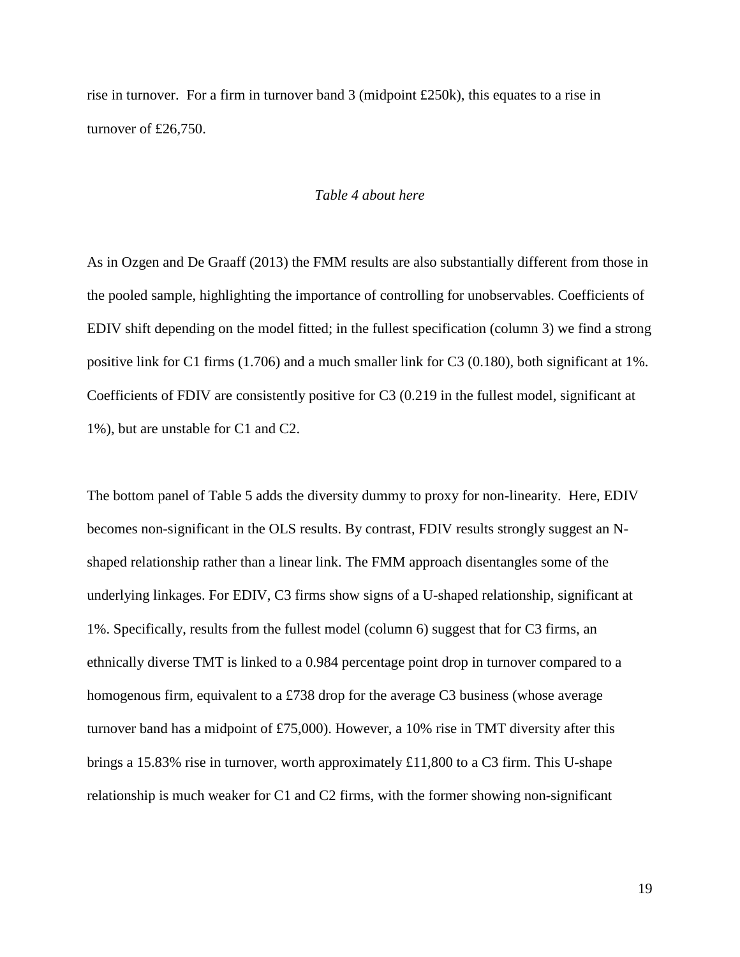rise in turnover. For a firm in turnover band 3 (midpoint £250k), this equates to a rise in turnover of £26,750.

#### *Table 4 about here*

As in Ozgen and De Graaff [\(2013\)](#page-38-0) the FMM results are also substantially different from those in the pooled sample, highlighting the importance of controlling for unobservables. Coefficients of EDIV shift depending on the model fitted; in the fullest specification (column 3) we find a strong positive link for C1 firms (1.706) and a much smaller link for C3 (0.180), both significant at 1%. Coefficients of FDIV are consistently positive for C3 (0.219 in the fullest model, significant at 1%), but are unstable for C1 and C2.

The bottom panel of Table 5 adds the diversity dummy to proxy for non-linearity. Here, EDIV becomes non-significant in the OLS results. By contrast, FDIV results strongly suggest an Nshaped relationship rather than a linear link. The FMM approach disentangles some of the underlying linkages. For EDIV, C3 firms show signs of a U-shaped relationship, significant at 1%. Specifically, results from the fullest model (column 6) suggest that for C3 firms, an ethnically diverse TMT is linked to a 0.984 percentage point drop in turnover compared to a homogenous firm, equivalent to a £738 drop for the average C3 business (whose average turnover band has a midpoint of £75,000). However, a 10% rise in TMT diversity after this brings a 15.83% rise in turnover, worth approximately £11,800 to a C3 firm. This U-shape relationship is much weaker for C1 and C2 firms, with the former showing non-significant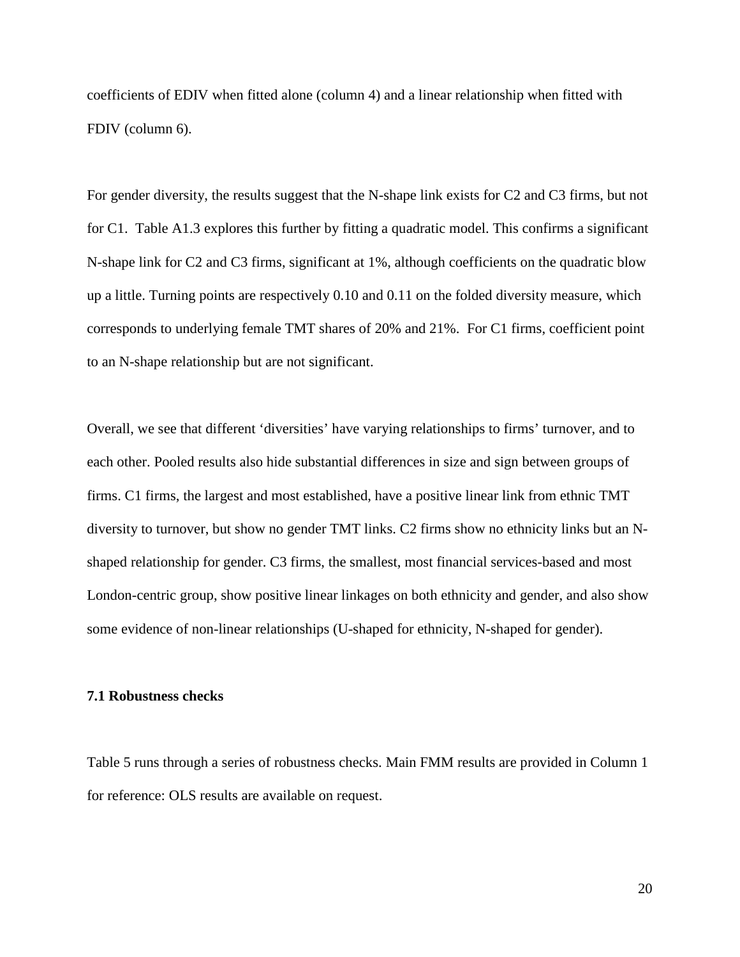coefficients of EDIV when fitted alone (column 4) and a linear relationship when fitted with FDIV (column 6).

For gender diversity, the results suggest that the N-shape link exists for C2 and C3 firms, but not for C1. Table A1.3 explores this further by fitting a quadratic model. This confirms a significant N-shape link for C2 and C3 firms, significant at 1%, although coefficients on the quadratic blow up a little. Turning points are respectively 0.10 and 0.11 on the folded diversity measure, which corresponds to underlying female TMT shares of 20% and 21%. For C1 firms, coefficient point to an N-shape relationship but are not significant.

Overall, we see that different 'diversities' have varying relationships to firms' turnover, and to each other. Pooled results also hide substantial differences in size and sign between groups of firms. C1 firms, the largest and most established, have a positive linear link from ethnic TMT diversity to turnover, but show no gender TMT links. C2 firms show no ethnicity links but an Nshaped relationship for gender. C3 firms, the smallest, most financial services-based and most London-centric group, show positive linear linkages on both ethnicity and gender, and also show some evidence of non-linear relationships (U-shaped for ethnicity, N-shaped for gender).

#### **7.1 Robustness checks**

Table 5 runs through a series of robustness checks. Main FMM results are provided in Column 1 for reference: OLS results are available on request.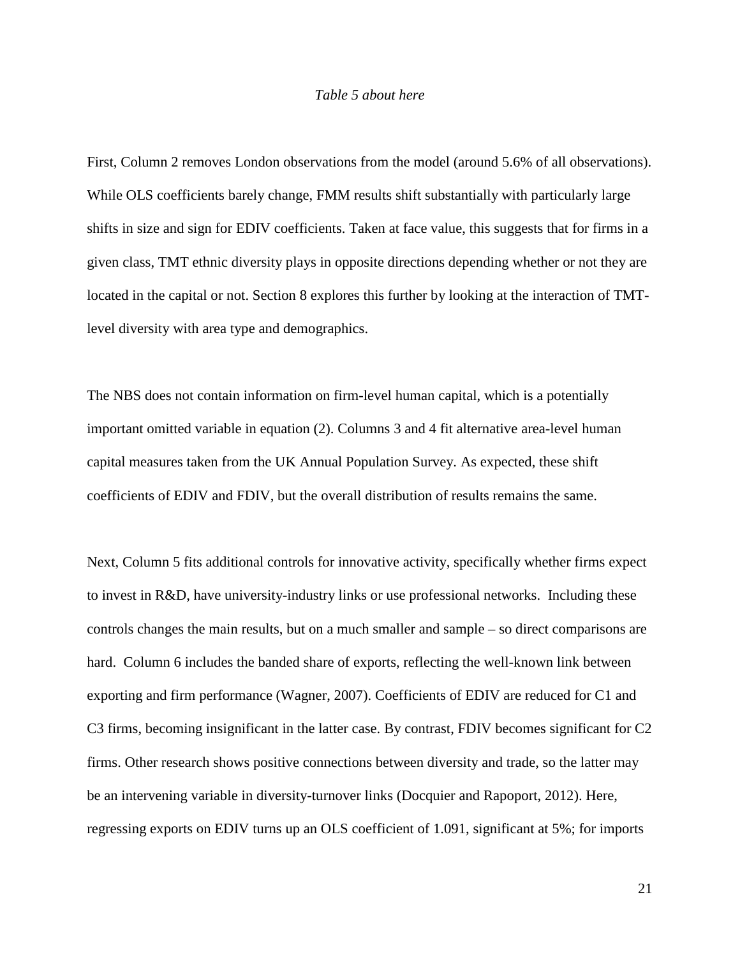#### *Table 5 about here*

First, Column 2 removes London observations from the model (around 5.6% of all observations). While OLS coefficients barely change, FMM results shift substantially with particularly large shifts in size and sign for EDIV coefficients. Taken at face value, this suggests that for firms in a given class, TMT ethnic diversity plays in opposite directions depending whether or not they are located in the capital or not. Section 8 explores this further by looking at the interaction of TMTlevel diversity with area type and demographics.

The NBS does not contain information on firm-level human capital, which is a potentially important omitted variable in equation (2). Columns 3 and 4 fit alternative area-level human capital measures taken from the UK Annual Population Survey. As expected, these shift coefficients of EDIV and FDIV, but the overall distribution of results remains the same.

Next, Column 5 fits additional controls for innovative activity, specifically whether firms expect to invest in R&D, have university-industry links or use professional networks. Including these controls changes the main results, but on a much smaller and sample – so direct comparisons are hard. Column 6 includes the banded share of exports, reflecting the well-known link between exporting and firm performance [\(Wagner, 2007\)](#page-38-12). Coefficients of EDIV are reduced for C1 and C3 firms, becoming insignificant in the latter case. By contrast, FDIV becomes significant for C2 firms. Other research shows positive connections between diversity and trade, so the latter may be an intervening variable in diversity-turnover links [\(Docquier and Rapoport, 2012\)](#page-36-7). Here, regressing exports on EDIV turns up an OLS coefficient of 1.091, significant at 5%; for imports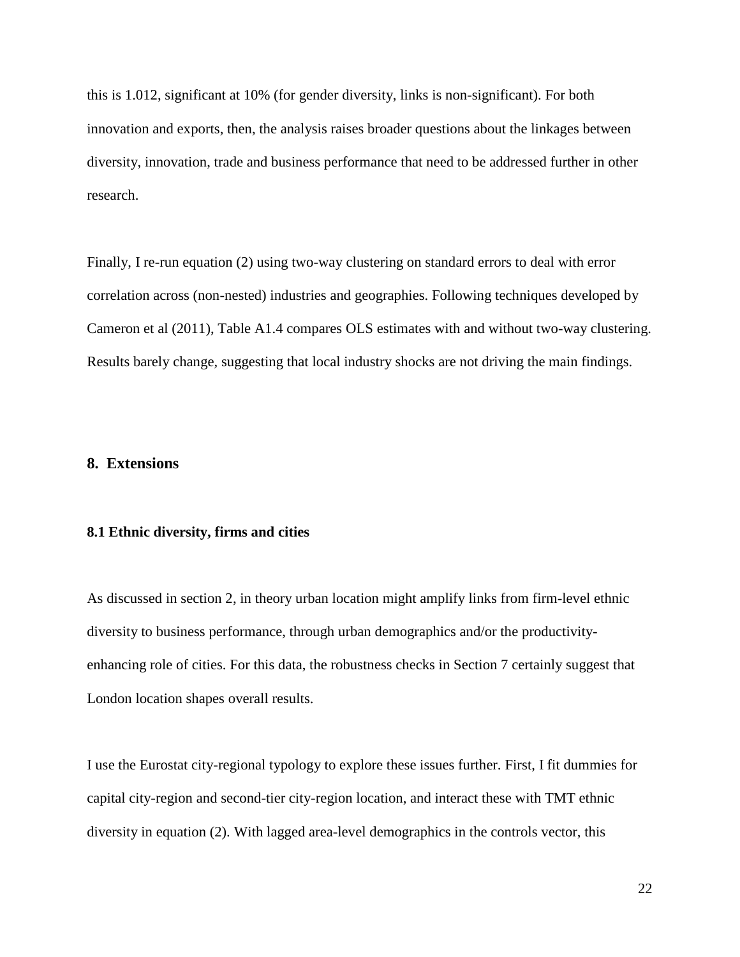this is 1.012, significant at 10% (for gender diversity, links is non-significant). For both innovation and exports, then, the analysis raises broader questions about the linkages between diversity, innovation, trade and business performance that need to be addressed further in other research.

Finally, I re-run equation (2) using two-way clustering on standard errors to deal with error correlation across (non-nested) industries and geographies. Following techniques developed by Cameron et al [\(2011\)](#page-36-18), Table A1.4 compares OLS estimates with and without two-way clustering. Results barely change, suggesting that local industry shocks are not driving the main findings.

#### **8. Extensions**

#### **8.1 Ethnic diversity, firms and cities**

As discussed in section 2, in theory urban location might amplify links from firm-level ethnic diversity to business performance, through urban demographics and/or the productivityenhancing role of cities. For this data, the robustness checks in Section 7 certainly suggest that London location shapes overall results.

I use the Eurostat city-regional typology to explore these issues further. First, I fit dummies for capital city-region and second-tier city-region location, and interact these with TMT ethnic diversity in equation (2). With lagged area-level demographics in the controls vector, this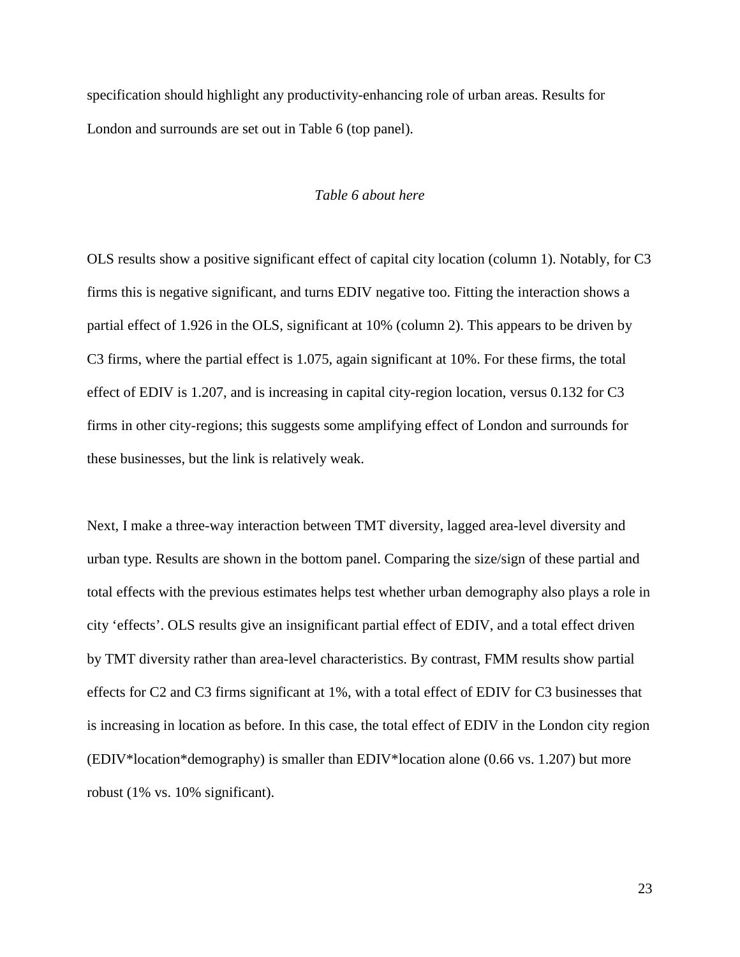specification should highlight any productivity-enhancing role of urban areas. Results for London and surrounds are set out in Table 6 (top panel).

#### *Table 6 about here*

OLS results show a positive significant effect of capital city location (column 1). Notably, for C3 firms this is negative significant, and turns EDIV negative too. Fitting the interaction shows a partial effect of 1.926 in the OLS, significant at 10% (column 2). This appears to be driven by C3 firms, where the partial effect is 1.075, again significant at 10%. For these firms, the total effect of EDIV is 1.207, and is increasing in capital city-region location, versus 0.132 for C3 firms in other city-regions; this suggests some amplifying effect of London and surrounds for these businesses, but the link is relatively weak.

Next, I make a three-way interaction between TMT diversity, lagged area-level diversity and urban type. Results are shown in the bottom panel. Comparing the size/sign of these partial and total effects with the previous estimates helps test whether urban demography also plays a role in city 'effects'. OLS results give an insignificant partial effect of EDIV, and a total effect driven by TMT diversity rather than area-level characteristics. By contrast, FMM results show partial effects for C2 and C3 firms significant at 1%, with a total effect of EDIV for C3 businesses that is increasing in location as before. In this case, the total effect of EDIV in the London city region (EDIV\*location\*demography) is smaller than EDIV\*location alone (0.66 vs. 1.207) but more robust (1% vs. 10% significant).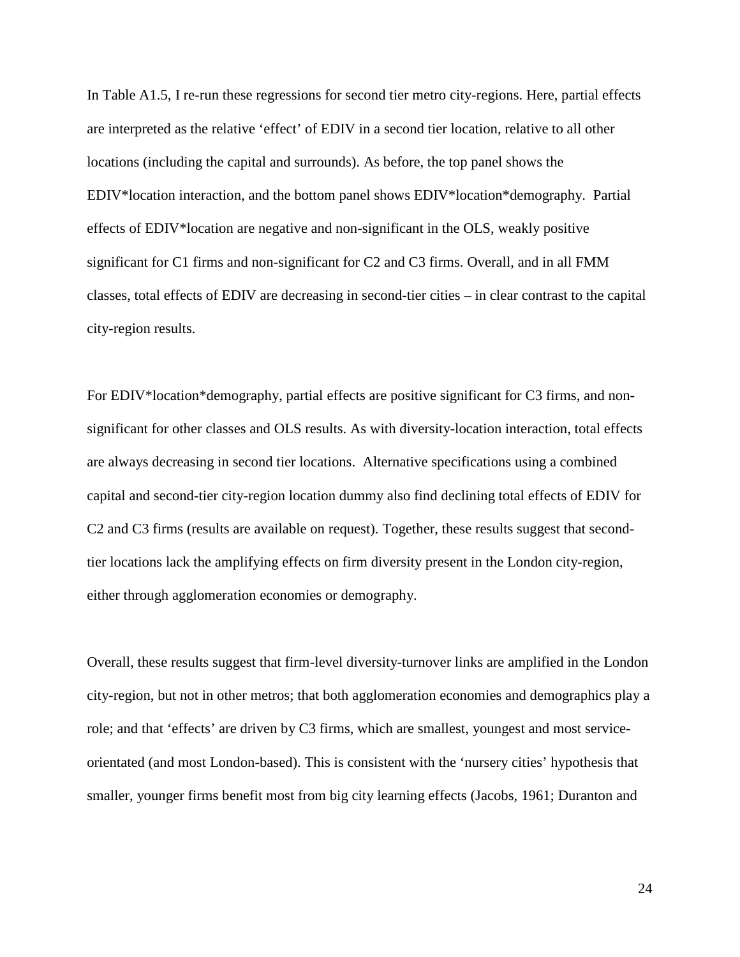In Table A1.5, I re-run these regressions for second tier metro city-regions. Here, partial effects are interpreted as the relative 'effect' of EDIV in a second tier location, relative to all other locations (including the capital and surrounds). As before, the top panel shows the EDIV\*location interaction, and the bottom panel shows EDIV\*location\*demography. Partial effects of EDIV\*location are negative and non-significant in the OLS, weakly positive significant for C1 firms and non-significant for C2 and C3 firms. Overall, and in all FMM classes, total effects of EDIV are decreasing in second-tier cities – in clear contrast to the capital city-region results.

For EDIV\*location\*demography, partial effects are positive significant for C3 firms, and nonsignificant for other classes and OLS results. As with diversity-location interaction, total effects are always decreasing in second tier locations. Alternative specifications using a combined capital and second-tier city-region location dummy also find declining total effects of EDIV for C2 and C3 firms (results are available on request). Together, these results suggest that secondtier locations lack the amplifying effects on firm diversity present in the London city-region, either through agglomeration economies or demography.

Overall, these results suggest that firm-level diversity-turnover links are amplified in the London city-region, but not in other metros; that both agglomeration economies and demographics play a role; and that 'effects' are driven by C3 firms, which are smallest, youngest and most serviceorientated (and most London-based). This is consistent with the 'nursery cities' hypothesis that smaller, younger firms benefit most from big city learning effects [\(Jacobs, 1961;](#page-37-19) [Duranton and](#page-36-19)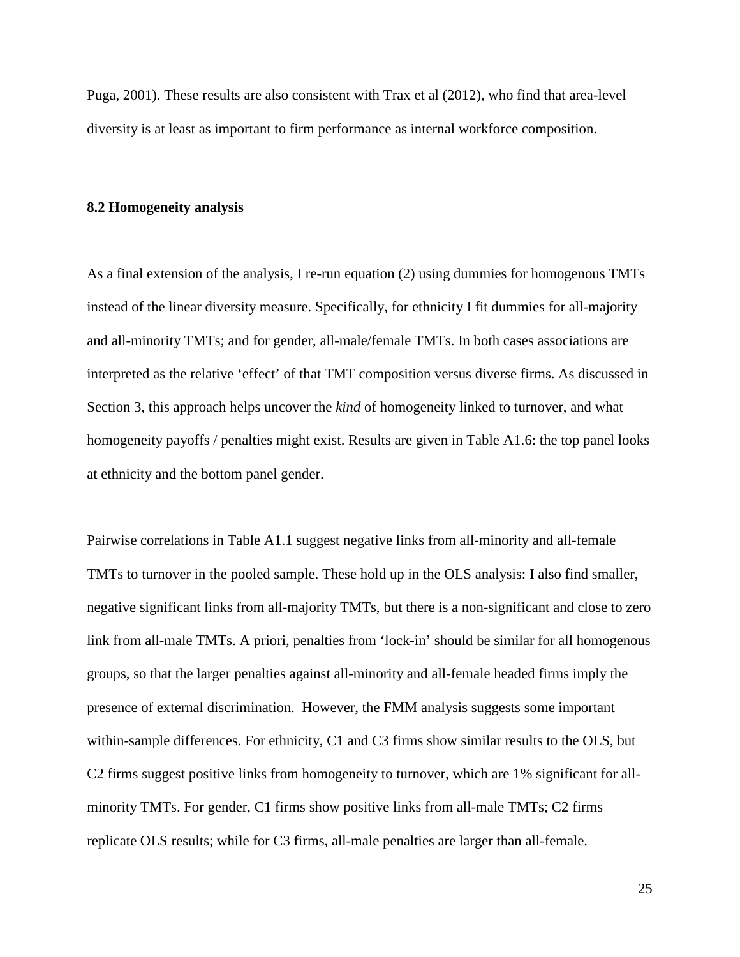[Puga, 2001\)](#page-36-19). These results are also consistent with Trax et al [\(2012\)](#page-38-1), who find that area-level diversity is at least as important to firm performance as internal workforce composition.

#### **8.2 Homogeneity analysis**

As a final extension of the analysis, I re-run equation (2) using dummies for homogenous TMTs instead of the linear diversity measure. Specifically, for ethnicity I fit dummies for all-majority and all-minority TMTs; and for gender, all-male/female TMTs. In both cases associations are interpreted as the relative 'effect' of that TMT composition versus diverse firms. As discussed in Section 3, this approach helps uncover the *kind* of homogeneity linked to turnover, and what homogeneity payoffs / penalties might exist. Results are given in Table A1.6: the top panel looks at ethnicity and the bottom panel gender.

Pairwise correlations in Table A1.1 suggest negative links from all-minority and all-female TMTs to turnover in the pooled sample. These hold up in the OLS analysis: I also find smaller, negative significant links from all-majority TMTs, but there is a non-significant and close to zero link from all-male TMTs. A priori, penalties from 'lock-in' should be similar for all homogenous groups, so that the larger penalties against all-minority and all-female headed firms imply the presence of external discrimination. However, the FMM analysis suggests some important within-sample differences. For ethnicity, C1 and C3 firms show similar results to the OLS, but C2 firms suggest positive links from homogeneity to turnover, which are 1% significant for allminority TMTs. For gender, C1 firms show positive links from all-male TMTs; C2 firms replicate OLS results; while for C3 firms, all-male penalties are larger than all-female.

25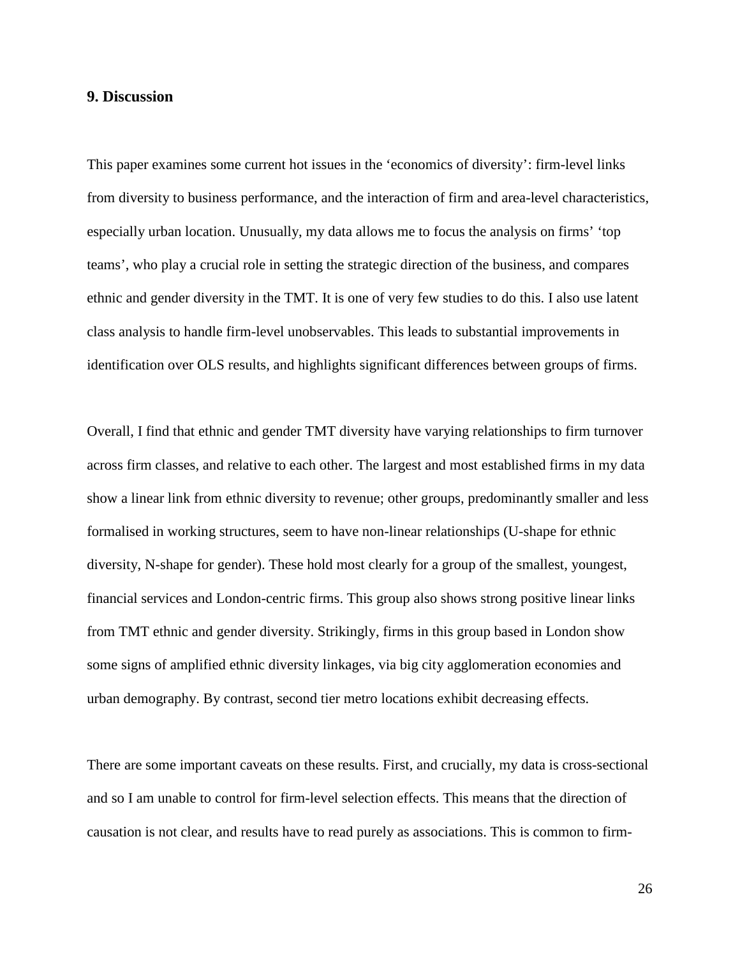#### **9. Discussion**

This paper examines some current hot issues in the 'economics of diversity': firm-level links from diversity to business performance, and the interaction of firm and area-level characteristics, especially urban location. Unusually, my data allows me to focus the analysis on firms' 'top teams', who play a crucial role in setting the strategic direction of the business, and compares ethnic and gender diversity in the TMT. It is one of very few studies to do this. I also use latent class analysis to handle firm-level unobservables. This leads to substantial improvements in identification over OLS results, and highlights significant differences between groups of firms.

Overall, I find that ethnic and gender TMT diversity have varying relationships to firm turnover across firm classes, and relative to each other. The largest and most established firms in my data show a linear link from ethnic diversity to revenue; other groups, predominantly smaller and less formalised in working structures, seem to have non-linear relationships (U-shape for ethnic diversity, N-shape for gender). These hold most clearly for a group of the smallest, youngest, financial services and London-centric firms. This group also shows strong positive linear links from TMT ethnic and gender diversity. Strikingly, firms in this group based in London show some signs of amplified ethnic diversity linkages, via big city agglomeration economies and urban demography. By contrast, second tier metro locations exhibit decreasing effects.

There are some important caveats on these results. First, and crucially, my data is cross-sectional and so I am unable to control for firm-level selection effects. This means that the direction of causation is not clear, and results have to read purely as associations. This is common to firm-

26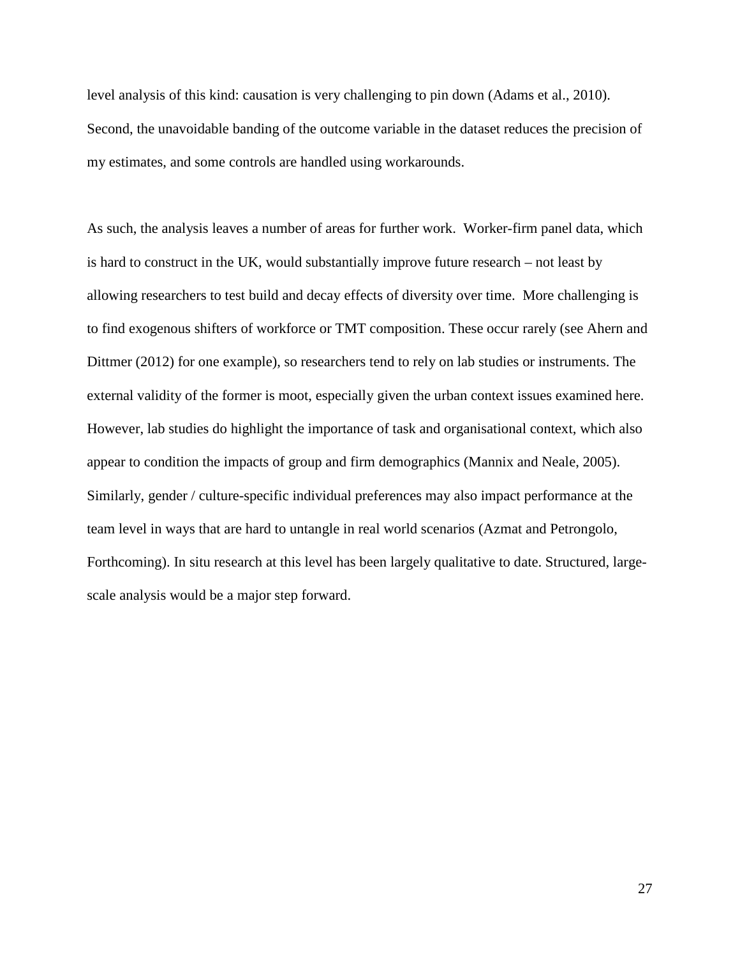level analysis of this kind: causation is very challenging to pin down [\(Adams et al., 2010\)](#page-36-11). Second, the unavoidable banding of the outcome variable in the dataset reduces the precision of my estimates, and some controls are handled using workarounds.

As such, the analysis leaves a number of areas for further work. Worker-firm panel data, which is hard to construct in the UK, would substantially improve future research – not least by allowing researchers to test build and decay effects of diversity over time. More challenging is to find exogenous shifters of workforce or TMT composition. These occur rarely (see Ahern and Dittmer [\(2012\)](#page-36-12) for one example), so researchers tend to rely on lab studies or instruments. The external validity of the former is moot, especially given the urban context issues examined here. However, lab studies do highlight the importance of task and organisational context, which also appear to condition the impacts of group and firm demographics [\(Mannix and Neale, 2005\)](#page-37-9). Similarly, gender / culture-specific individual preferences may also impact performance at the team level in ways that are hard to untangle in real world scenarios [\(Azmat and Petrongolo,](#page-36-3)  [Forthcoming\)](#page-36-3). In situ research at this level has been largely qualitative to date. Structured, largescale analysis would be a major step forward.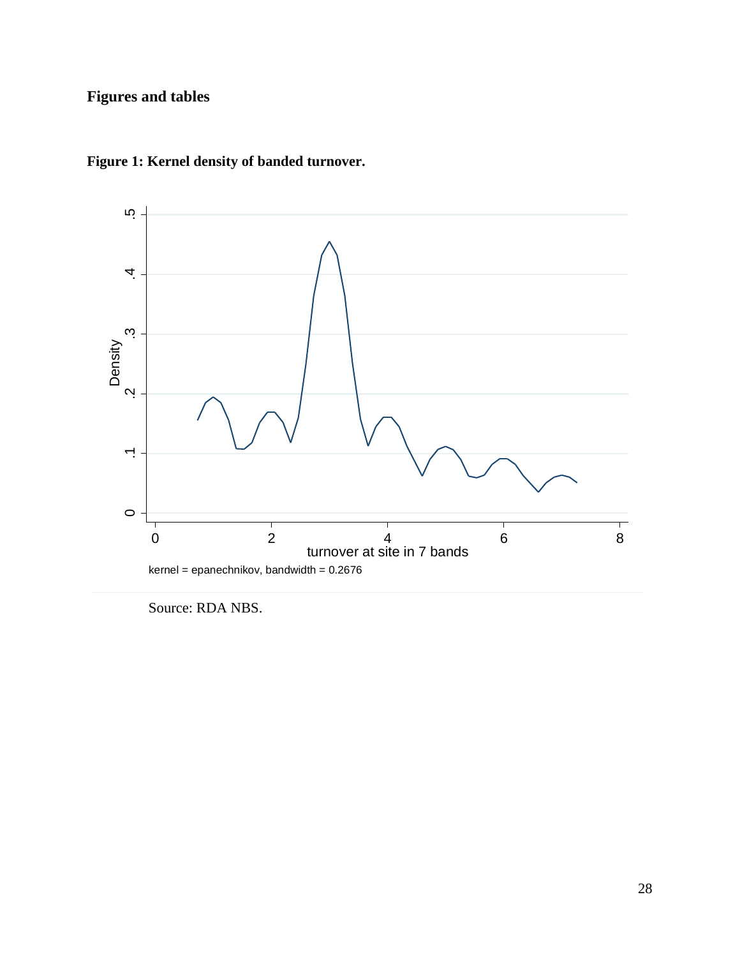# **Figures and tables**



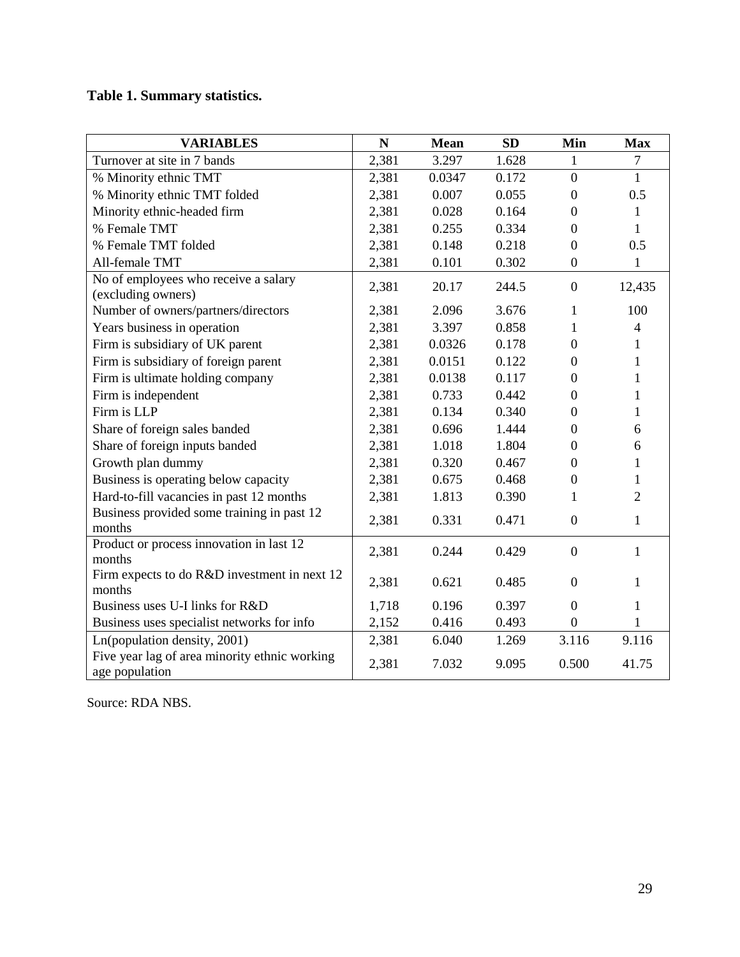# **Table 1. Summary statistics.**

| <b>VARIABLES</b>                                                | $\mathbb N$ | <b>Mean</b> | <b>SD</b> | Min              | <b>Max</b>     |
|-----------------------------------------------------------------|-------------|-------------|-----------|------------------|----------------|
| Turnover at site in 7 bands                                     | 2,381       | 3.297       | 1.628     | 1                | $\tau$         |
| % Minority ethnic TMT                                           | 2,381       | 0.0347      | 0.172     | $\boldsymbol{0}$ | $\mathbf{1}$   |
| % Minority ethnic TMT folded                                    | 2,381       | 0.007       | 0.055     | $\theta$         | 0.5            |
| Minority ethnic-headed firm                                     | 2,381       | 0.028       | 0.164     | $\boldsymbol{0}$ | $\mathbf{1}$   |
| % Female TMT                                                    | 2,381       | 0.255       | 0.334     | $\theta$         | 1              |
| % Female TMT folded                                             | 2,381       | 0.148       | 0.218     | $\overline{0}$   | 0.5            |
| All-female TMT                                                  | 2,381       | 0.101       | 0.302     | $\overline{0}$   | 1              |
| No of employees who receive a salary<br>(excluding owners)      | 2,381       | 20.17       | 244.5     | $\mathbf{0}$     | 12,435         |
| Number of owners/partners/directors                             | 2,381       | 2.096       | 3.676     | 1                | 100            |
| Years business in operation                                     | 2,381       | 3.397       | 0.858     | 1                | $\overline{4}$ |
| Firm is subsidiary of UK parent                                 | 2,381       | 0.0326      | 0.178     | $\boldsymbol{0}$ | 1              |
| Firm is subsidiary of foreign parent                            | 2,381       | 0.0151      | 0.122     | $\overline{0}$   | 1              |
| Firm is ultimate holding company                                | 2,381       | 0.0138      | 0.117     | $\theta$         | 1              |
| Firm is independent                                             | 2,381       | 0.733       | 0.442     | $\boldsymbol{0}$ | 1              |
| Firm is LLP                                                     | 2,381       | 0.134       | 0.340     | $\overline{0}$   | 1              |
| Share of foreign sales banded                                   | 2,381       | 0.696       | 1.444     | $\boldsymbol{0}$ | 6              |
| Share of foreign inputs banded                                  | 2,381       | 1.018       | 1.804     | $\boldsymbol{0}$ | 6              |
| Growth plan dummy                                               | 2,381       | 0.320       | 0.467     | $\theta$         | 1              |
| Business is operating below capacity                            | 2,381       | 0.675       | 0.468     | $\boldsymbol{0}$ | 1              |
| Hard-to-fill vacancies in past 12 months                        | 2,381       | 1.813       | 0.390     | 1                | $\overline{2}$ |
| Business provided some training in past 12<br>months            | 2,381       | 0.331       | 0.471     | $\boldsymbol{0}$ | 1              |
| Product or process innovation in last 12<br>months              | 2,381       | 0.244       | 0.429     | $\boldsymbol{0}$ | $\mathbf{1}$   |
| Firm expects to do R&D investment in next 12<br>months          | 2,381       | 0.621       | 0.485     | $\overline{0}$   | 1              |
| Business uses U-I links for R&D                                 | 1,718       | 0.196       | 0.397     | $\boldsymbol{0}$ | 1              |
| Business uses specialist networks for info                      | 2,152       | 0.416       | 0.493     | $\boldsymbol{0}$ | 1              |
| Ln(population density, 2001)                                    | 2,381       | 6.040       | 1.269     | 3.116            | 9.116          |
| Five year lag of area minority ethnic working<br>age population | 2,381       | 7.032       | 9.095     | 0.500            | 41.75          |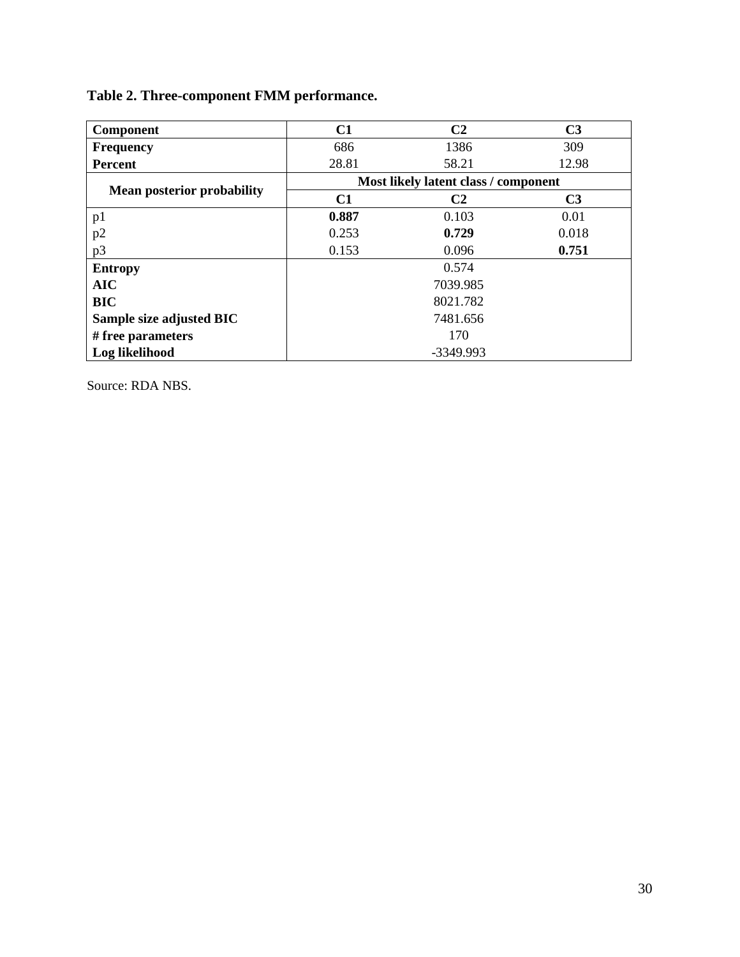| <b>Component</b>                  | C1                                   | C <sub>2</sub> | C <sub>3</sub> |  |  |  |  |  |
|-----------------------------------|--------------------------------------|----------------|----------------|--|--|--|--|--|
| <b>Frequency</b>                  | 686                                  | 1386           | 309            |  |  |  |  |  |
| <b>Percent</b>                    | 28.81                                | 58.21          | 12.98          |  |  |  |  |  |
|                                   | Most likely latent class / component |                |                |  |  |  |  |  |
| <b>Mean posterior probability</b> | C <sub>1</sub>                       | C2             | C <sub>3</sub> |  |  |  |  |  |
| p1                                | 0.887                                | 0.103          | 0.01           |  |  |  |  |  |
| p2                                | 0.253                                | 0.729          | 0.018          |  |  |  |  |  |
| p3                                | 0.153                                | 0.751          |                |  |  |  |  |  |
| <b>Entropy</b>                    |                                      | 0.574          |                |  |  |  |  |  |
| <b>AIC</b>                        |                                      | 7039.985       |                |  |  |  |  |  |
| <b>BIC</b>                        |                                      | 8021.782       |                |  |  |  |  |  |
| Sample size adjusted BIC          |                                      | 7481.656       |                |  |  |  |  |  |
| # free parameters                 | 170                                  |                |                |  |  |  |  |  |
| Log likelihood                    |                                      | $-3349.993$    |                |  |  |  |  |  |

# **Table 2. Three-component FMM performance.**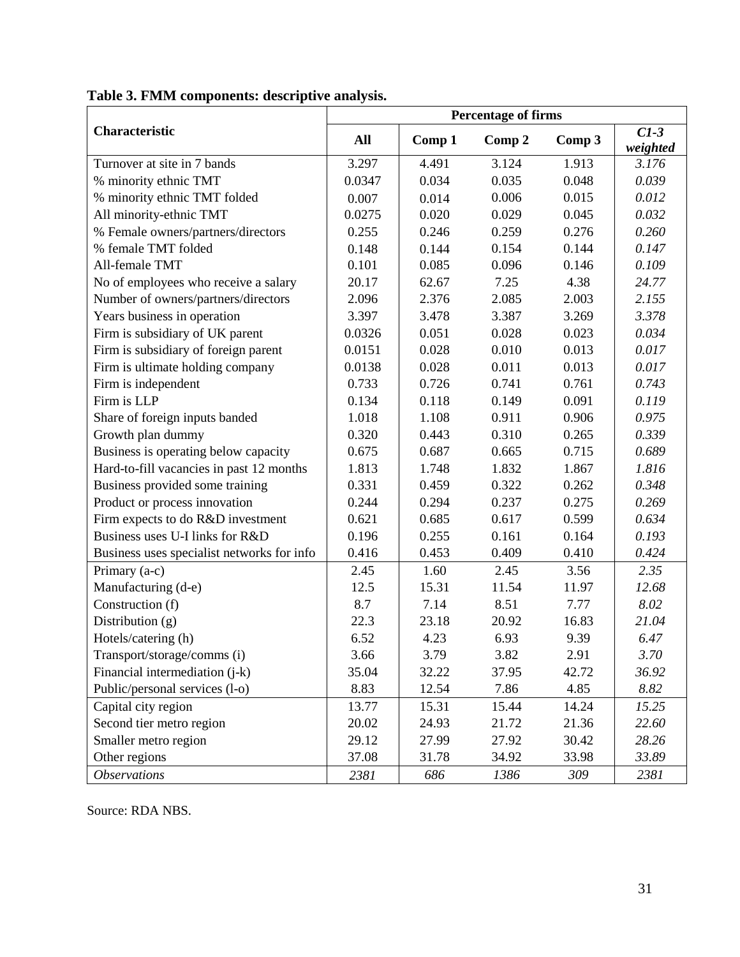|                                            |        |        | <b>Percentage of firms</b> |        |                    |
|--------------------------------------------|--------|--------|----------------------------|--------|--------------------|
| Characteristic                             | All    | Comp 1 | Comp 2                     | Comp 3 | $CI-3$<br>weighted |
| Turnover at site in 7 bands                | 3.297  | 4.491  | 3.124                      | 1.913  | 3.176              |
| % minority ethnic TMT                      | 0.0347 | 0.034  | 0.035                      | 0.048  | 0.039              |
| % minority ethnic TMT folded               | 0.007  | 0.014  | 0.006                      | 0.015  | 0.012              |
| All minority-ethnic TMT                    | 0.0275 | 0.020  | 0.029                      | 0.045  | 0.032              |
| % Female owners/partners/directors         | 0.255  | 0.246  | 0.259                      | 0.276  | 0.260              |
| % female TMT folded                        | 0.148  | 0.144  | 0.154                      | 0.144  | 0.147              |
| All-female TMT                             | 0.101  | 0.085  | 0.096                      | 0.146  | 0.109              |
| No of employees who receive a salary       | 20.17  | 62.67  | 7.25                       | 4.38   | 24.77              |
| Number of owners/partners/directors        | 2.096  | 2.376  | 2.085                      | 2.003  | 2.155              |
| Years business in operation                | 3.397  | 3.478  | 3.387                      | 3.269  | 3.378              |
| Firm is subsidiary of UK parent            | 0.0326 | 0.051  | 0.028                      | 0.023  | 0.034              |
| Firm is subsidiary of foreign parent       | 0.0151 | 0.028  | 0.010                      | 0.013  | 0.017              |
| Firm is ultimate holding company           | 0.0138 | 0.028  | 0.011                      | 0.013  | 0.017              |
| Firm is independent                        | 0.733  | 0.726  | 0.741                      | 0.761  | 0.743              |
| Firm is LLP                                | 0.134  | 0.118  | 0.149                      | 0.091  | 0.119              |
| Share of foreign inputs banded             | 1.018  | 1.108  | 0.911                      | 0.906  | 0.975              |
| Growth plan dummy                          | 0.320  | 0.443  | 0.310                      | 0.265  | 0.339              |
| Business is operating below capacity       | 0.675  | 0.687  | 0.665                      | 0.715  | 0.689              |
| Hard-to-fill vacancies in past 12 months   | 1.813  | 1.748  | 1.832                      | 1.867  | 1.816              |
| Business provided some training            | 0.331  | 0.459  | 0.322                      | 0.262  | 0.348              |
| Product or process innovation              | 0.244  | 0.294  | 0.237                      | 0.275  | 0.269              |
| Firm expects to do R&D investment          | 0.621  | 0.685  | 0.617                      | 0.599  | 0.634              |
| Business uses U-I links for R&D            | 0.196  | 0.255  | 0.161                      | 0.164  | 0.193              |
| Business uses specialist networks for info | 0.416  | 0.453  | 0.409                      | 0.410  | 0.424              |
| Primary (a-c)                              | 2.45   | 1.60   | 2.45                       | 3.56   | 2.35               |
| Manufacturing (d-e)                        | 12.5   | 15.31  | 11.54                      | 11.97  | 12.68              |
| Construction (f)                           | 8.7    | 7.14   | 8.51                       | 7.77   | 8.02               |
| Distribution (g)                           | 22.3   | 23.18  | 20.92                      | 16.83  | 21.04              |
| Hotels/catering (h)                        | 6.52   | 4.23   | 6.93                       | 9.39   | 6.47               |
| Transport/storage/comms (i)                | 3.66   | 3.79   | 3.82                       | 2.91   | 3.70               |
| Financial intermediation (j-k)             | 35.04  | 32.22  | 37.95                      | 42.72  | 36.92              |
| Public/personal services (l-o)             | 8.83   | 12.54  | 7.86                       | 4.85   | 8.82               |
| Capital city region                        | 13.77  | 15.31  | 15.44                      | 14.24  | 15.25              |
| Second tier metro region                   | 20.02  | 24.93  | 21.72                      | 21.36  | 22.60              |
| Smaller metro region                       | 29.12  | 27.99  | 27.92                      | 30.42  | 28.26              |
| Other regions                              | 37.08  | 31.78  | 34.92                      | 33.98  | 33.89              |
| <b>Observations</b>                        | 2381   | 686    | 1386                       | 309    | 2381               |

**Table 3. FMM components: descriptive analysis.**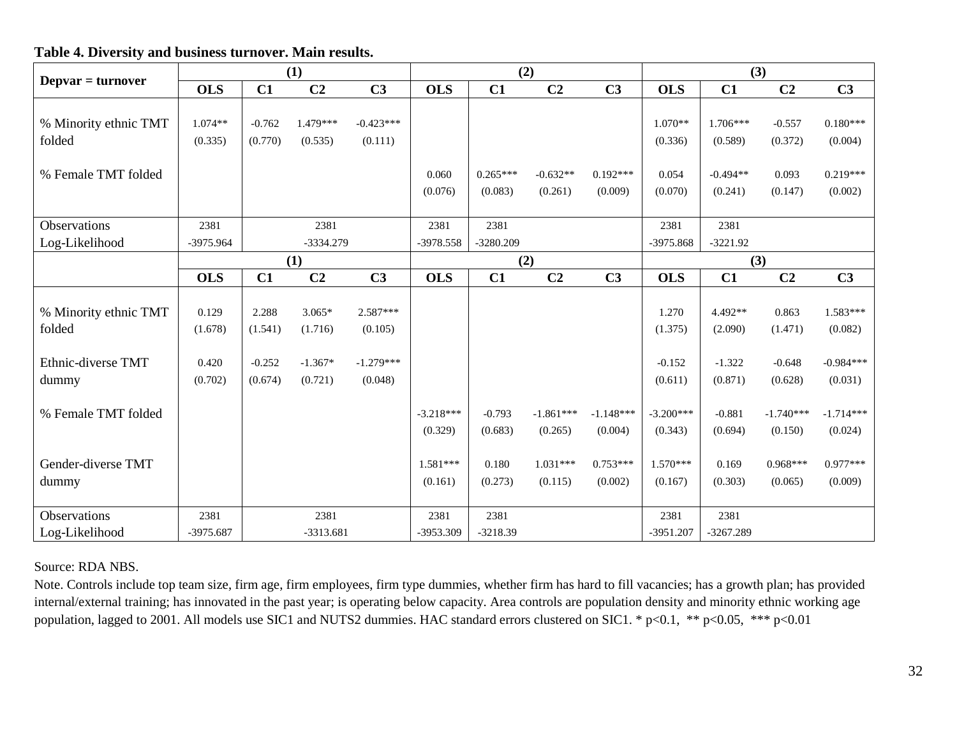|                       | $\bf{(1)}$ |          |                |                | (2)        |             |                |                | (3)        |            |                |                |
|-----------------------|------------|----------|----------------|----------------|------------|-------------|----------------|----------------|------------|------------|----------------|----------------|
| $Depvar = turnover$   | <b>OLS</b> | C1       | C <sub>2</sub> | C <sub>3</sub> | <b>OLS</b> | C1          | C <sub>2</sub> | C <sub>3</sub> | <b>OLS</b> | C1         | C <sub>2</sub> | C <sub>3</sub> |
| % Minority ethnic TMT | $1.074**$  | $-0.762$ | 1.479***       | $-0.423***$    |            |             |                |                | $1.070**$  | $1.706***$ | $-0.557$       | $0.180*$       |
| folded                | (0.335)    | (0.770)  | (0.535)        | (0.111)        |            |             |                |                | (0.336)    | (0.589)    | (0.372)        | (0.00)         |
| % Female TMT folded   |            |          |                |                | 0.060      | $0.265***$  | $-0.632**$     | $0.192***$     | 0.054      | $-0.494**$ | 0.093          | $0.219*$       |
|                       |            |          |                |                | (0.076)    | (0.083)     | (0.261)        | (0.009)        | (0.070)    | (0.241)    | (0.147)        | (0.00)         |
| Observations          | 2381       |          | 2381           |                | 2381       | 2381        |                |                | 2381       | 2381       |                |                |
| Log-Likelihood        | -3975.964  |          | $-3334.279$    |                | -3978.558  | $-3280.209$ |                |                | -3975.868  | $-3221.92$ |                |                |
|                       |            |          | (1)            |                |            | (2)         |                |                |            | (2)        |                |                |

#### **Table 4. Diversity and business turnover. Main results.**

|                       | <u>viju</u> | ◡▴       | ◡▱             | $\sim$         | <u>vw</u>   | ◡▴         | ◡▰             | $\sim$         | <u>viju</u> | ◡▴          | ◡▰             | $\tilde{ }$    |
|-----------------------|-------------|----------|----------------|----------------|-------------|------------|----------------|----------------|-------------|-------------|----------------|----------------|
|                       |             |          |                |                |             |            |                |                |             |             |                |                |
| % Minority ethnic TMT | $1.074**$   | $-0.762$ | $1.479***$     | $-0.423***$    |             |            |                |                | $1.070**$   | $1.706***$  | $-0.557$       | $0.180***$     |
| folded                | (0.335)     | (0.770)  | (0.535)        | (0.111)        |             |            |                |                | (0.336)     | (0.589)     | (0.372)        | (0.004)        |
|                       |             |          |                |                |             |            |                |                |             |             |                |                |
| % Female TMT folded   |             |          |                |                | 0.060       | $0.265***$ | $-0.632**$     | $0.192***$     | 0.054       | $-0.494**$  | 0.093          | $0.219***$     |
|                       |             |          |                |                | (0.076)     | (0.083)    | (0.261)        | (0.009)        | (0.070)     | (0.241)     | (0.147)        | (0.002)        |
|                       |             |          |                |                |             |            |                |                |             |             |                |                |
| Observations          | 2381        |          | 2381           |                | 2381        | 2381       |                |                | 2381        | 2381        |                |                |
| Log-Likelihood        | -3975.964   |          | -3334.279      |                | -3978.558   | -3280.209  |                |                | -3975.868   | $-3221.92$  |                |                |
|                       | (1)         |          |                |                |             | (2)        |                |                |             | (3)         |                |                |
|                       | <b>OLS</b>  | C1       | C <sub>2</sub> | C <sub>3</sub> | <b>OLS</b>  | C1         | C <sub>2</sub> | C <sub>3</sub> | <b>OLS</b>  | C1          | C <sub>2</sub> | C <sub>3</sub> |
|                       |             |          |                |                |             |            |                |                |             |             |                |                |
| % Minority ethnic TMT | 0.129       | 2.288    | $3.065*$       | $2.587***$     |             |            |                |                | 1.270       | 4.492**     | 0.863          | $1.583***$     |
| folded                | (1.678)     | (1.541)  | (1.716)        | (0.105)        |             |            |                |                | (1.375)     | (2.090)     | (1.471)        | (0.082)        |
|                       |             |          |                |                |             |            |                |                |             |             |                |                |
| Ethnic-diverse TMT    | 0.420       | $-0.252$ | $-1.367*$      | $-1.279***$    |             |            |                |                | $-0.152$    | $-1.322$    | $-0.648$       | $-0.984***$    |
| dummy                 | (0.702)     | (0.674)  | (0.721)        | (0.048)        |             |            |                |                | (0.611)     | (0.871)     | (0.628)        | (0.031)        |
|                       |             |          |                |                |             |            |                |                |             |             |                |                |
| % Female TMT folded   |             |          |                |                | $-3.218***$ | $-0.793$   | $-1.861***$    | $-1.148***$    | $-3.200***$ | $-0.881$    | $-1.740***$    | $-1.714***$    |
|                       |             |          |                |                | (0.329)     | (0.683)    | (0.265)        | (0.004)        | (0.343)     | (0.694)     | (0.150)        | (0.024)        |
|                       |             |          |                |                |             |            |                |                |             |             |                |                |
| Gender-diverse TMT    |             |          |                |                | $1.581***$  | 0.180      | $1.031***$     | $0.753***$     | $1.570***$  | 0.169       | $0.968***$     | $0.977***$     |
| dummy                 |             |          |                |                | (0.161)     | (0.273)    | (0.115)        | (0.002)        | (0.167)     | (0.303)     | (0.065)        | (0.009)        |
|                       |             |          |                |                |             |            |                |                |             |             |                |                |
| Observations          | 2381        |          | 2381           |                | 2381        | 2381       |                |                | 2381        | 2381        |                |                |
| Log-Likelihood        | -3975.687   |          | -3313.681      |                | -3953.309   | $-3218.39$ |                |                | $-3951.207$ | $-3267.289$ |                |                |
|                       |             |          |                |                |             |            |                |                |             |             |                |                |

Source: RDA NBS.

Note. Controls include top team size, firm age, firm employees, firm type dummies, whether firm has hard to fill vacancies; has a growth plan; has provided internal/external training; has innovated in the past year; is operating below capacity. Area controls are population density and minority ethnic working age population, lagged to 2001. All models use SIC1 and NUTS2 dummies. HAC standard errors clustered on SIC1. \* p<0.1, \*\* p<0.05, \*\*\* p<0.01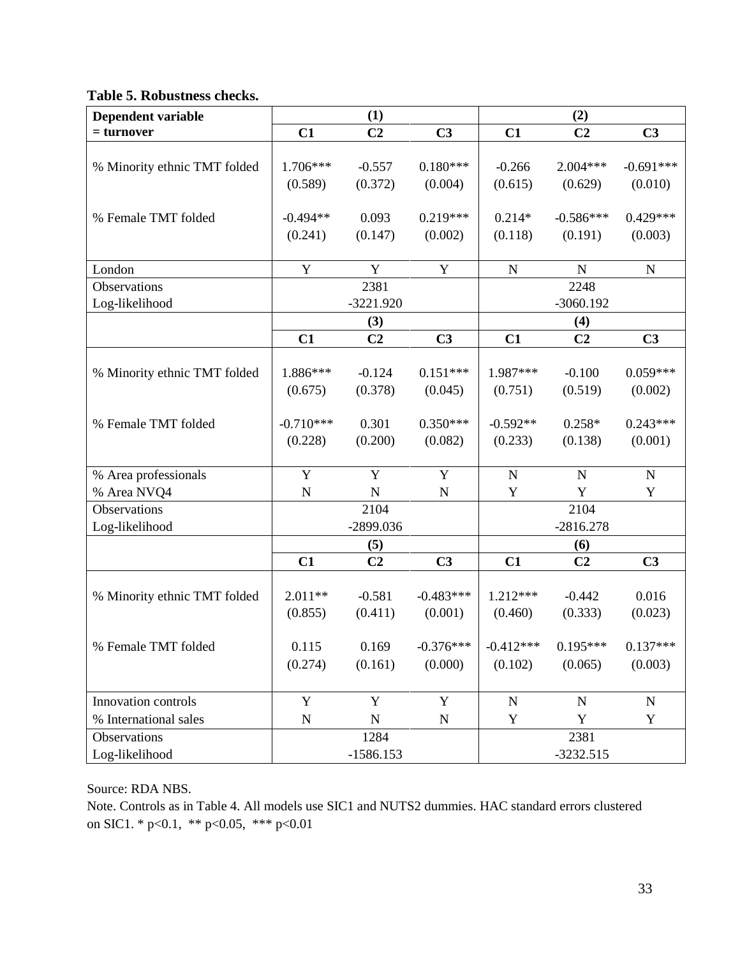|  | Table 5. Robustness checks. |  |
|--|-----------------------------|--|
|--|-----------------------------|--|

| Dependent variable           | (1)<br>(2)            |                  |                |                     |                        |                |  |  |
|------------------------------|-----------------------|------------------|----------------|---------------------|------------------------|----------------|--|--|
| $=$ turnover                 | C1                    | C <sub>2</sub>   | C <sub>3</sub> | C1                  | C <sub>2</sub>         | C <sub>3</sub> |  |  |
|                              |                       |                  |                |                     |                        |                |  |  |
| % Minority ethnic TMT folded | 1.706***              | $-0.557$         | $0.180***$     | $-0.266$            | $2.004***$             | $-0.691***$    |  |  |
|                              | (0.589)               | (0.372)          | (0.004)        | (0.615)             | (0.629)                | (0.010)        |  |  |
|                              |                       |                  | $0.219***$     |                     |                        | $0.429***$     |  |  |
| % Female TMT folded          | $-0.494**$<br>(0.241) | 0.093<br>(0.147) | (0.002)        | $0.214*$<br>(0.118) | $-0.586***$<br>(0.191) | (0.003)        |  |  |
|                              |                       |                  |                |                     |                        |                |  |  |
| London                       | Y                     | Y                | $\mathbf Y$    | ${\bf N}$           | $\mathbf N$            | $\mathbf N$    |  |  |
| Observations                 |                       | 2381             |                |                     | 2248                   |                |  |  |
| Log-likelihood               |                       | $-3221.920$      |                |                     | $-3060.192$            |                |  |  |
|                              |                       | (3)              |                |                     | (4)                    |                |  |  |
|                              | C1                    | C <sub>2</sub>   | C <sub>3</sub> | C1                  | C <sub>2</sub>         | C <sub>3</sub> |  |  |
|                              |                       |                  |                |                     |                        |                |  |  |
| % Minority ethnic TMT folded | 1.886***              | $-0.124$         | $0.151***$     | 1.987***            | $-0.100$               | $0.059***$     |  |  |
|                              | (0.675)               | (0.378)          | (0.045)        | (0.751)             | (0.519)                | (0.002)        |  |  |
|                              | $-0.710***$           | 0.301            | $0.350***$     | $-0.592**$          | $0.258*$               | $0.243***$     |  |  |
| % Female TMT folded          | (0.228)               | (0.200)          | (0.082)        | (0.233)             | (0.138)                | (0.001)        |  |  |
|                              |                       |                  |                |                     |                        |                |  |  |
| % Area professionals         | Y                     | Y                | Y              | $\mathbf N$         | $\mathbf N$            | $\mathbf N$    |  |  |
| % Area NVQ4                  | ${\bf N}$             | $\mathbf N$      | ${\bf N}$      | Y                   | Y                      | Y              |  |  |
| Observations                 |                       | 2104             |                |                     | 2104                   |                |  |  |
| Log-likelihood               |                       | -2899.036        |                |                     | $-2816.278$            |                |  |  |
|                              |                       | (5)              |                |                     | (6)                    |                |  |  |
|                              | C1                    | C <sub>2</sub>   | C <sub>3</sub> | C1                  | C <sub>2</sub>         | C <sub>3</sub> |  |  |
|                              |                       |                  |                |                     |                        |                |  |  |
| % Minority ethnic TMT folded | $2.011**$             | $-0.581$         | $-0.483***$    | 1.212***            | $-0.442$               | 0.016          |  |  |
|                              | (0.855)               | (0.411)          | (0.001)        | (0.460)             | (0.333)                | (0.023)        |  |  |
| % Female TMT folded          | 0.115                 | 0.169            | $-0.376***$    | $-0.412***$         | $0.195***$             | $0.137***$     |  |  |
|                              | (0.274)               | (0.161)          | (0.000)        | (0.102)             | (0.065)                | (0.003)        |  |  |
|                              |                       |                  |                |                     |                        |                |  |  |
| Innovation controls          | Y                     | Y                | Y              | $\mathbf N$         | $\mathbf N$            | $\mathbf N$    |  |  |
| % International sales        | ${\bf N}$             | ${\bf N}$        | ${\bf N}$      | Y                   | Y                      | Y              |  |  |
| Observations                 | 1284<br>2381          |                  |                |                     |                        |                |  |  |
| Log-likelihood               |                       | $-1586.153$      |                |                     | $-3232.515$            |                |  |  |

Source: RDA NBS.

Note. Controls as in Table 4. All models use SIC1 and NUTS2 dummies. HAC standard errors clustered on SIC1. \* p<0.1, \*\* p<0.05, \*\*\* p<0.01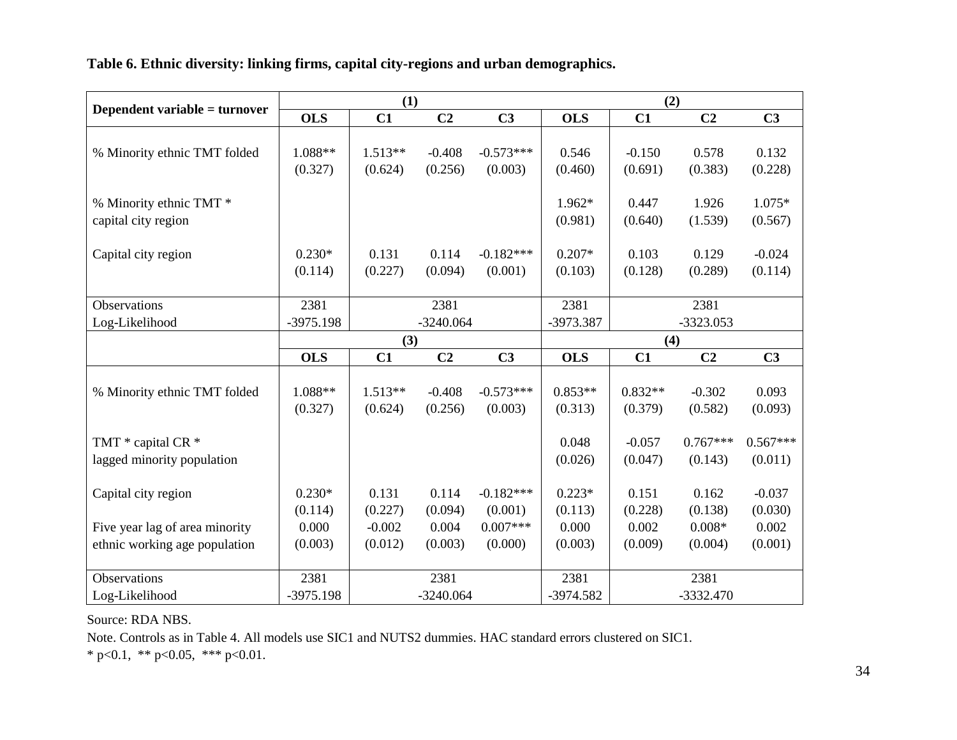**Table 6. Ethnic diversity: linking firms, capital city-regions and urban demographics.** 

|                                |             | (1)       |                |                |             | (2)       |                |                |
|--------------------------------|-------------|-----------|----------------|----------------|-------------|-----------|----------------|----------------|
| Dependent variable = turnover  | <b>OLS</b>  | C1        | C <sub>2</sub> | C <sub>3</sub> | <b>OLS</b>  | C1        | C <sub>2</sub> | C <sub>3</sub> |
|                                |             |           |                |                |             |           |                |                |
| % Minority ethnic TMT folded   | 1.088**     | $1.513**$ | $-0.408$       | $-0.573***$    | 0.546       | $-0.150$  | 0.578          | 0.132          |
|                                | (0.327)     | (0.624)   | (0.256)        | (0.003)        | (0.460)     | (0.691)   | (0.383)        | (0.228)        |
|                                |             |           |                |                |             |           |                |                |
| % Minority ethnic TMT *        |             |           |                |                | 1.962*      | 0.447     | 1.926          | 1.075*         |
| capital city region            |             |           |                |                | (0.981)     | (0.640)   | (1.539)        | (0.567)        |
|                                |             |           |                |                |             |           |                |                |
| Capital city region            | $0.230*$    | 0.131     | 0.114          | $-0.182***$    | $0.207*$    | 0.103     | 0.129          | $-0.024$       |
|                                | (0.114)     | (0.227)   | (0.094)        | (0.001)        | (0.103)     | (0.128)   | (0.289)        | (0.114)        |
|                                |             |           |                |                |             |           |                |                |
| Observations                   | 2381        |           | 2381           |                | 2381        |           | 2381           |                |
| Log-Likelihood                 | $-3975.198$ |           | $-3240.064$    |                | -3973.387   |           | -3323.053      |                |
|                                |             | (3)       |                |                |             | (4)       |                |                |
|                                | <b>OLS</b>  | C1        | C2             | C <sub>3</sub> | <b>OLS</b>  | C1        | C <sub>2</sub> | C <sub>3</sub> |
|                                |             |           |                |                |             |           |                |                |
| % Minority ethnic TMT folded   | 1.088**     | $1.513**$ | $-0.408$       | $-0.573***$    | $0.853**$   | $0.832**$ | $-0.302$       | 0.093          |
|                                | (0.327)     | (0.624)   | (0.256)        | (0.003)        | (0.313)     | (0.379)   | (0.582)        | (0.093)        |
|                                |             |           |                |                |             |           |                |                |
| TMT * capital CR *             |             |           |                |                | 0.048       | $-0.057$  | $0.767***$     | $0.567***$     |
| lagged minority population     |             |           |                |                | (0.026)     | (0.047)   | (0.143)        | (0.011)        |
|                                |             |           |                |                |             |           |                |                |
| Capital city region            | $0.230*$    | 0.131     | 0.114          | $-0.182***$    | $0.223*$    | 0.151     | 0.162          | $-0.037$       |
|                                | (0.114)     | (0.227)   | (0.094)        | (0.001)        | (0.113)     | (0.228)   | (0.138)        | (0.030)        |
| Five year lag of area minority | 0.000       | $-0.002$  | 0.004          | $0.007***$     | 0.000       | 0.002     | $0.008*$       | 0.002          |
| ethnic working age population  | (0.003)     | (0.012)   | (0.003)        | (0.000)        | (0.003)     | (0.009)   | (0.004)        | (0.001)        |
|                                |             |           |                |                |             |           |                |                |
| Observations                   | 2381        |           | 2381           |                | 2381        |           | 2381           |                |
| Log-Likelihood                 | $-3975.198$ |           | $-3240.064$    |                | $-3974.582$ |           | $-3332.470$    |                |

Source: RDA NBS.

Note. Controls as in Table 4. All models use SIC1 and NUTS2 dummies. HAC standard errors clustered on SIC1.

\* p<0.1, \*\* p<0.05, \*\*\* p<0.01.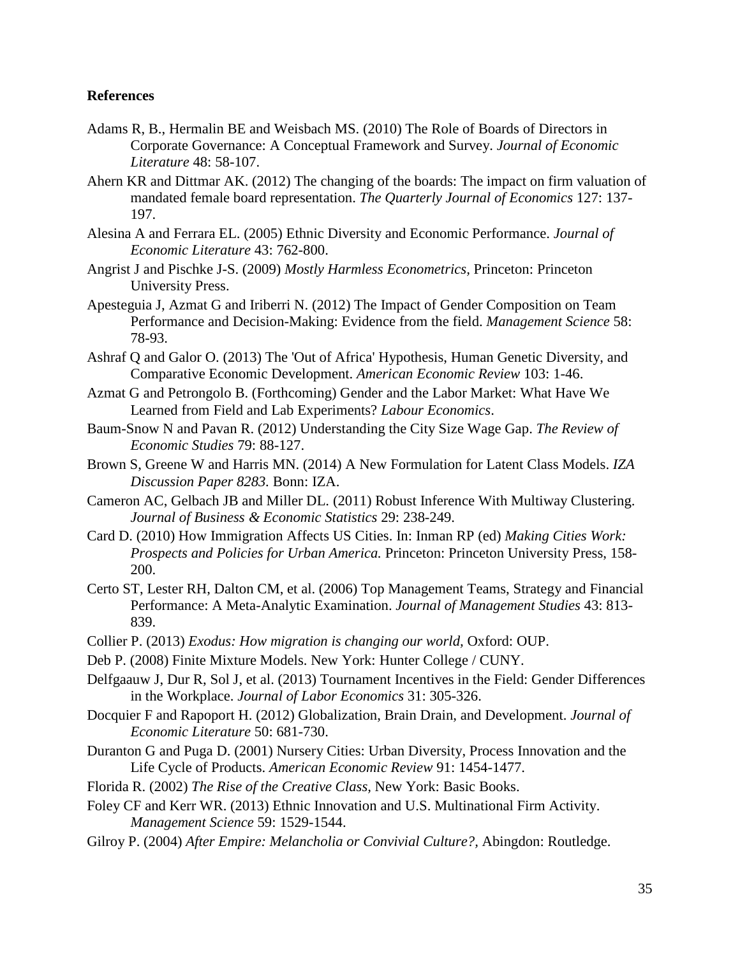#### **References**

- <span id="page-36-11"></span>Adams R, B., Hermalin BE and Weisbach MS. (2010) The Role of Boards of Directors in Corporate Governance: A Conceptual Framework and Survey. *Journal of Economic Literature* 48: 58-107.
- <span id="page-36-12"></span>Ahern KR and Dittmar AK. (2012) The changing of the boards: The impact on firm valuation of mandated female board representation. *The Quarterly Journal of Economics* 127: 137- 197.
- <span id="page-36-8"></span>Alesina A and Ferrara EL. (2005) Ethnic Diversity and Economic Performance. *Journal of Economic Literature* 43: 762-800.
- <span id="page-36-17"></span>Angrist J and Pischke J-S. (2009) *Mostly Harmless Econometrics,* Princeton: Princeton University Press.
- <span id="page-36-10"></span>Apesteguia J, Azmat G and Iriberri N. (2012) The Impact of Gender Composition on Team Performance and Decision-Making: Evidence from the field. *Management Science* 58: 78-93.
- <span id="page-36-4"></span>Ashraf Q and Galor O. (2013) The 'Out of Africa' Hypothesis, Human Genetic Diversity, and Comparative Economic Development. *American Economic Review* 103: 1-46.
- <span id="page-36-3"></span>Azmat G and Petrongolo B. (Forthcoming) Gender and the Labor Market: What Have We Learned from Field and Lab Experiments? *Labour Economics*.
- <span id="page-36-14"></span>Baum-Snow N and Pavan R. (2012) Understanding the City Size Wage Gap. *The Review of Economic Studies* 79: 88-127.
- <span id="page-36-15"></span>Brown S, Greene W and Harris MN. (2014) A New Formulation for Latent Class Models. *IZA Discussion Paper 8283.* Bonn: IZA.
- <span id="page-36-18"></span>Cameron AC, Gelbach JB and Miller DL. (2011) Robust Inference With Multiway Clustering. *Journal of Business & Economic Statistics* 29: 238-249.
- <span id="page-36-13"></span>Card D. (2010) How Immigration Affects US Cities. In: Inman RP (ed) *Making Cities Work: Prospects and Policies for Urban America.* Princeton: Princeton University Press, 158- 200.
- <span id="page-36-5"></span>Certo ST, Lester RH, Dalton CM, et al. (2006) Top Management Teams, Strategy and Financial Performance: A Meta-Analytic Examination. *Journal of Management Studies* 43: 813- 839.
- <span id="page-36-2"></span>Collier P. (2013) *Exodus: How migration is changing our world,* Oxford: OUP.
- <span id="page-36-16"></span>Deb P. (2008) Finite Mixture Models. New York: Hunter College / CUNY.
- <span id="page-36-9"></span>Delfgaauw J, Dur R, Sol J, et al. (2013) Tournament Incentives in the Field: Gender Differences in the Workplace. *Journal of Labor Economics* 31: 305-326.
- <span id="page-36-7"></span>Docquier F and Rapoport H. (2012) Globalization, Brain Drain, and Development. *Journal of Economic Literature* 50: 681-730.
- <span id="page-36-19"></span>Duranton G and Puga D. (2001) Nursery Cities: Urban Diversity, Process Innovation and the Life Cycle of Products. *American Economic Review* 91: 1454-1477.
- <span id="page-36-0"></span>Florida R. (2002) *The Rise of the Creative Class,* New York: Basic Books.
- <span id="page-36-6"></span>Foley CF and Kerr WR. (2013) Ethnic Innovation and U.S. Multinational Firm Activity. *Management Science* 59: 1529-1544.
- <span id="page-36-1"></span>Gilroy P. (2004) *After Empire: Melancholia or Convivial Culture?,* Abingdon: Routledge.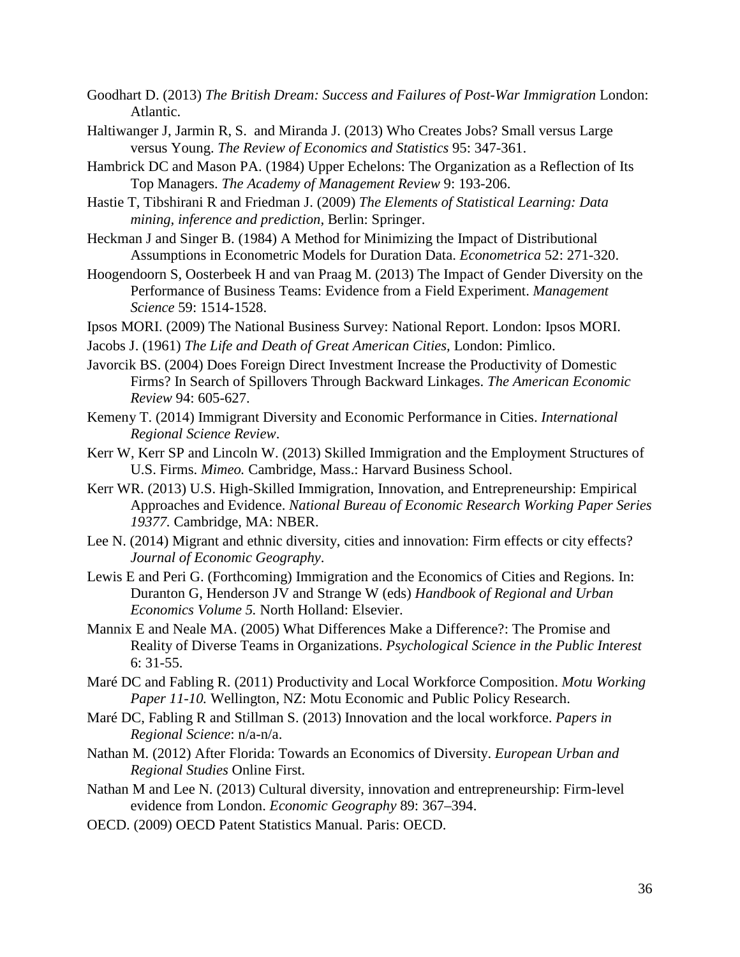- <span id="page-37-0"></span>Goodhart D. (2013) *The British Dream: Success and Failures of Post-War Immigration* London: Atlantic.
- <span id="page-37-17"></span>Haltiwanger J, Jarmin R, S. and Miranda J. (2013) Who Creates Jobs? Small versus Large versus Young. *The Review of Economics and Statistics* 95: 347-361.
- <span id="page-37-5"></span>Hambrick DC and Mason PA. (1984) Upper Echelons: The Organization as a Reflection of Its Top Managers. *The Academy of Management Review* 9: 193-206.
- <span id="page-37-16"></span>Hastie T, Tibshirani R and Friedman J. (2009) *The Elements of Statistical Learning: Data mining, inference and prediction,* Berlin: Springer.
- <span id="page-37-6"></span>Heckman J and Singer B. (1984) A Method for Minimizing the Impact of Distributional Assumptions in Econometric Models for Duration Data. *Econometrica* 52: 271-320.
- <span id="page-37-13"></span>Hoogendoorn S, Oosterbeek H and van Praag M. (2013) The Impact of Gender Diversity on the Performance of Business Teams: Evidence from a Field Experiment. *Management Science* 59: 1514-1528.
- <span id="page-37-14"></span>Ipsos MORI. (2009) The National Business Survey: National Report. London: Ipsos MORI.
- <span id="page-37-19"></span>Jacobs J. (1961) *The Life and Death of Great American Cities,* London: Pimlico.
- <span id="page-37-18"></span>Javorcik BS. (2004) Does Foreign Direct Investment Increase the Productivity of Domestic Firms? In Search of Spillovers Through Backward Linkages. *The American Economic Review* 94: 605-627.
- <span id="page-37-2"></span>Kemeny T. (2014) Immigrant Diversity and Economic Performance in Cities. *International Regional Science Review*.
- <span id="page-37-12"></span>Kerr W, Kerr SP and Lincoln W. (2013) Skilled Immigration and the Employment Structures of U.S. Firms. *Mimeo.* Cambridge, Mass.: Harvard Business School.
- <span id="page-37-4"></span>Kerr WR. (2013) U.S. High-Skilled Immigration, Innovation, and Entrepreneurship: Empirical Approaches and Evidence. *National Bureau of Economic Research Working Paper Series 19377.* Cambridge, MA: NBER.
- <span id="page-37-8"></span>Lee N. (2014) Migrant and ethnic diversity, cities and innovation: Firm effects or city effects? *Journal of Economic Geography*.
- <span id="page-37-3"></span>Lewis E and Peri G. (Forthcoming) Immigration and the Economics of Cities and Regions. In: Duranton G, Henderson JV and Strange W (eds) *Handbook of Regional and Urban Economics Volume 5.* North Holland: Elsevier.
- <span id="page-37-9"></span>Mannix E and Neale MA. (2005) What Differences Make a Difference?: The Promise and Reality of Diverse Teams in Organizations. *Psychological Science in the Public Interest* 6: 31-55.
- <span id="page-37-11"></span>Maré DC and Fabling R. (2011) Productivity and Local Workforce Composition. *Motu Working Paper 11-10.* Wellington, NZ: Motu Economic and Public Policy Research.
- <span id="page-37-10"></span>Maré DC, Fabling R and Stillman S. (2013) Innovation and the local workforce. *Papers in Regional Science*: n/a-n/a.
- <span id="page-37-1"></span>Nathan M. (2012) After Florida: Towards an Economics of Diversity. *European Urban and Regional Studies* Online First.
- <span id="page-37-7"></span>Nathan M and Lee N. (2013) Cultural diversity, innovation and entrepreneurship: Firm-level evidence from London. *Economic Geography* 89: 367–394.
- <span id="page-37-15"></span>OECD. (2009) OECD Patent Statistics Manual. Paris: OECD.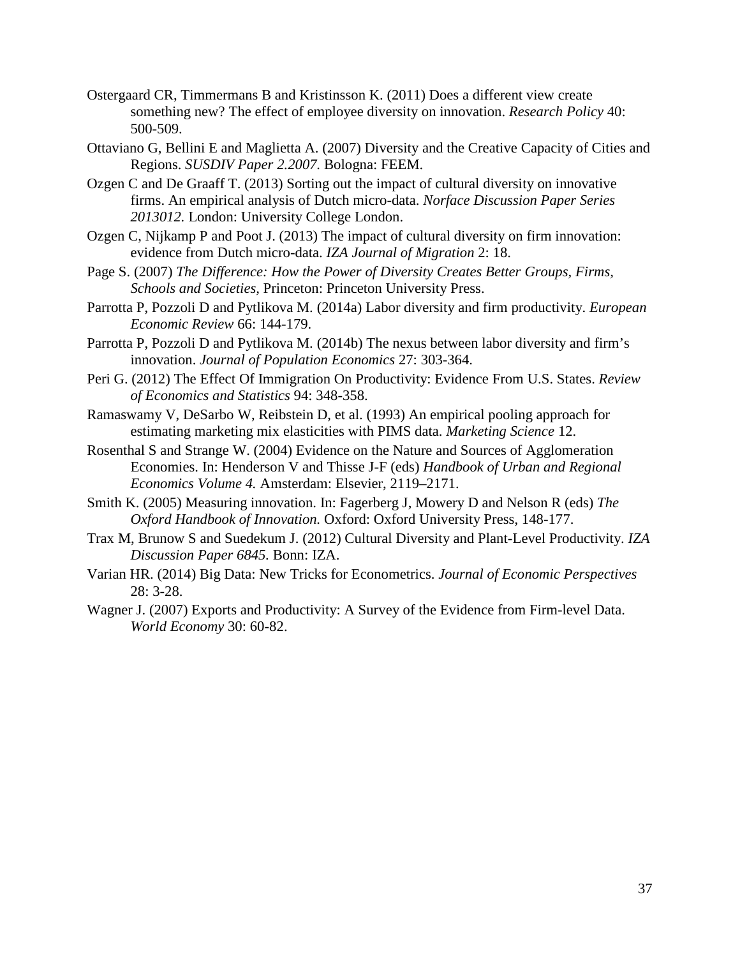- <span id="page-38-8"></span>Ostergaard CR, Timmermans B and Kristinsson K. (2011) Does a different view create something new? The effect of employee diversity on innovation. *Research Policy* 40: 500-509.
- <span id="page-38-2"></span>Ottaviano G, Bellini E and Maglietta A. (2007) Diversity and the Creative Capacity of Cities and Regions. *SUSDIV Paper 2.2007.* Bologna: FEEM.
- <span id="page-38-0"></span>Ozgen C and De Graaff T. (2013) Sorting out the impact of cultural diversity on innovative firms. An empirical analysis of Dutch micro-data. *Norface Discussion Paper Series 2013012.* London: University College London.
- <span id="page-38-5"></span>Ozgen C, Nijkamp P and Poot J. (2013) The impact of cultural diversity on firm innovation: evidence from Dutch micro-data. *IZA Journal of Migration* 2: 18.
- <span id="page-38-3"></span>Page S. (2007) *The Difference: How the Power of Diversity Creates Better Groups, Firms, Schools and Societies,* Princeton: Princeton University Press.
- <span id="page-38-6"></span>Parrotta P, Pozzoli D and Pytlikova M. (2014a) Labor diversity and firm productivity. *European Economic Review* 66: 144-179.
- <span id="page-38-7"></span>Parrotta P, Pozzoli D and Pytlikova M. (2014b) The nexus between labor diversity and firm's innovation. *Journal of Population Economics* 27: 303-364.
- <span id="page-38-4"></span>Peri G. (2012) The Effect Of Immigration On Productivity: Evidence From U.S. States. *Review of Economics and Statistics* 94: 348-358.
- <span id="page-38-13"></span>Ramaswamy V, DeSarbo W, Reibstein D, et al. (1993) An empirical pooling approach for estimating marketing mix elasticities with PIMS data. *Marketing Science* 12.
- <span id="page-38-11"></span>Rosenthal S and Strange W. (2004) Evidence on the Nature and Sources of Agglomeration Economies. In: Henderson V and Thisse J-F (eds) *Handbook of Urban and Regional Economics Volume 4.* Amsterdam: Elsevier, 2119–2171.
- <span id="page-38-9"></span>Smith K. (2005) Measuring innovation. In: Fagerberg J, Mowery D and Nelson R (eds) *The Oxford Handbook of Innovation.* Oxford: Oxford University Press, 148-177.
- <span id="page-38-1"></span>Trax M, Brunow S and Suedekum J. (2012) Cultural Diversity and Plant-Level Productivity. *IZA Discussion Paper 6845.* Bonn: IZA.
- <span id="page-38-10"></span>Varian HR. (2014) Big Data: New Tricks for Econometrics. *Journal of Economic Perspectives* 28: 3-28.
- <span id="page-38-12"></span>Wagner J. (2007) Exports and Productivity: A Survey of the Evidence from Firm-level Data. *World Economy* 30: 60-82.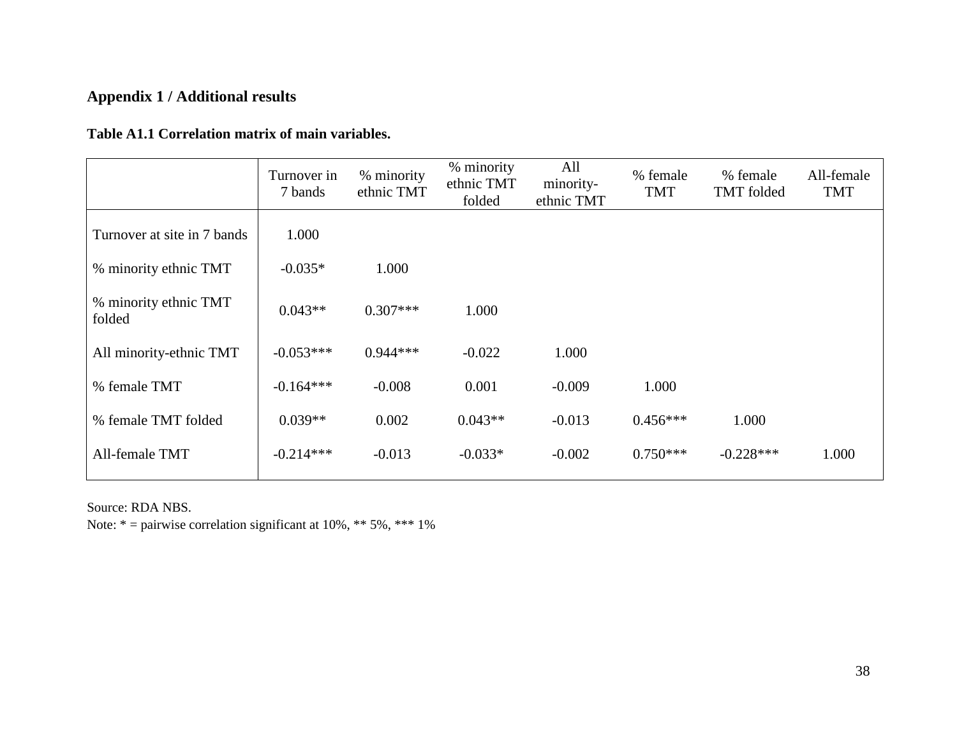# **Appendix 1 / Additional results**

## **Table A1.1 Correlation matrix of main variables.**

|                                 | Turnover in<br>7 bands | % minority<br>ethnic TMT | % minority<br>ethnic TMT<br>folded | All<br>minority-<br>ethnic TMT | % female<br><b>TMT</b> | % female<br>TMT folded | All-female<br><b>TMT</b> |
|---------------------------------|------------------------|--------------------------|------------------------------------|--------------------------------|------------------------|------------------------|--------------------------|
| Turnover at site in 7 bands     | 1.000                  |                          |                                    |                                |                        |                        |                          |
| % minority ethnic TMT           | $-0.035*$              | 1.000                    |                                    |                                |                        |                        |                          |
| % minority ethnic TMT<br>folded | $0.043**$              | $0.307***$               | 1.000                              |                                |                        |                        |                          |
| All minority-ethnic TMT         | $-0.053***$            | $0.944***$               | $-0.022$                           | 1.000                          |                        |                        |                          |
| % female TMT                    | $-0.164***$            | $-0.008$                 | 0.001                              | $-0.009$                       | 1.000                  |                        |                          |
| % female TMT folded             | $0.039**$              | 0.002                    | $0.043**$                          | $-0.013$                       | $0.456***$             | 1.000                  |                          |
| All-female TMT                  | $-0.214***$            | $-0.013$                 | $-0.033*$                          | $-0.002$                       | $0.750***$             | $-0.228***$            | 1.000                    |

Source: RDA NBS.

Note:  $* =$  pairwise correlation significant at 10%,  $**$  5%,  $***$  1%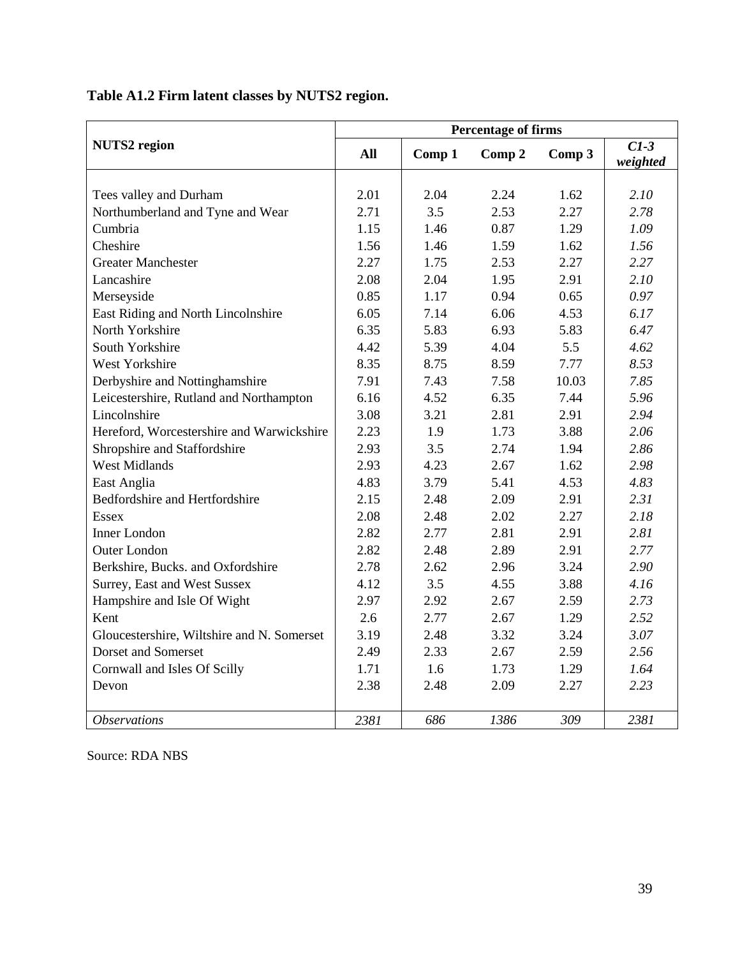|                                            |            |        | <b>Percentage of firms</b> |        |                    |
|--------------------------------------------|------------|--------|----------------------------|--------|--------------------|
| <b>NUTS2</b> region                        | <b>All</b> | Comp 1 | Comp 2                     | Comp 3 | $C1-3$<br>weighted |
|                                            |            |        |                            |        |                    |
| Tees valley and Durham                     | 2.01       | 2.04   | 2.24                       | 1.62   | 2.10               |
| Northumberland and Tyne and Wear           | 2.71       | 3.5    | 2.53                       | 2.27   | 2.78               |
| Cumbria                                    | 1.15       | 1.46   | 0.87                       | 1.29   | 1.09               |
| Cheshire                                   | 1.56       | 1.46   | 1.59                       | 1.62   | 1.56               |
| <b>Greater Manchester</b>                  | 2.27       | 1.75   | 2.53                       | 2.27   | 2.27               |
| Lancashire                                 | 2.08       | 2.04   | 1.95                       | 2.91   | 2.10               |
| Merseyside                                 | 0.85       | 1.17   | 0.94                       | 0.65   | 0.97               |
| East Riding and North Lincolnshire         | 6.05       | 7.14   | 6.06                       | 4.53   | 6.17               |
| North Yorkshire                            | 6.35       | 5.83   | 6.93                       | 5.83   | 6.47               |
| South Yorkshire                            | 4.42       | 5.39   | 4.04                       | 5.5    | 4.62               |
| West Yorkshire                             | 8.35       | 8.75   | 8.59                       | 7.77   | 8.53               |
| Derbyshire and Nottinghamshire             | 7.91       | 7.43   | 7.58                       | 10.03  | 7.85               |
| Leicestershire, Rutland and Northampton    | 6.16       | 4.52   | 6.35                       | 7.44   | 5.96               |
| Lincolnshire                               | 3.08       | 3.21   | 2.81                       | 2.91   | 2.94               |
| Hereford, Worcestershire and Warwickshire  | 2.23       | 1.9    | 1.73                       | 3.88   | 2.06               |
| Shropshire and Staffordshire               | 2.93       | 3.5    | 2.74                       | 1.94   | 2.86               |
| <b>West Midlands</b>                       | 2.93       | 4.23   | 2.67                       | 1.62   | 2.98               |
| East Anglia                                | 4.83       | 3.79   | 5.41                       | 4.53   | 4.83               |
| Bedfordshire and Hertfordshire             | 2.15       | 2.48   | 2.09                       | 2.91   | 2.31               |
| <b>Essex</b>                               | 2.08       | 2.48   | 2.02                       | 2.27   | 2.18               |
| <b>Inner London</b>                        | 2.82       | 2.77   | 2.81                       | 2.91   | 2.81               |
| <b>Outer London</b>                        | 2.82       | 2.48   | 2.89                       | 2.91   | 2.77               |
| Berkshire, Bucks. and Oxfordshire          | 2.78       | 2.62   | 2.96                       | 3.24   | 2.90               |
| Surrey, East and West Sussex               | 4.12       | 3.5    | 4.55                       | 3.88   | 4.16               |
| Hampshire and Isle Of Wight                | 2.97       | 2.92   | 2.67                       | 2.59   | 2.73               |
| Kent                                       | 2.6        | 2.77   | 2.67                       | 1.29   | 2.52               |
| Gloucestershire, Wiltshire and N. Somerset | 3.19       | 2.48   | 3.32                       | 3.24   | 3.07               |
| Dorset and Somerset                        | 2.49       | 2.33   | 2.67                       | 2.59   | 2.56               |
| Cornwall and Isles Of Scilly               | 1.71       | 1.6    | 1.73                       | 1.29   | 1.64               |
| Devon                                      | 2.38       | 2.48   | 2.09                       | 2.27   | 2.23               |
| <b>Observations</b>                        | 2381       | 686    | 1386                       | 309    | 2381               |

**Table A1.2 Firm latent classes by NUTS2 region.**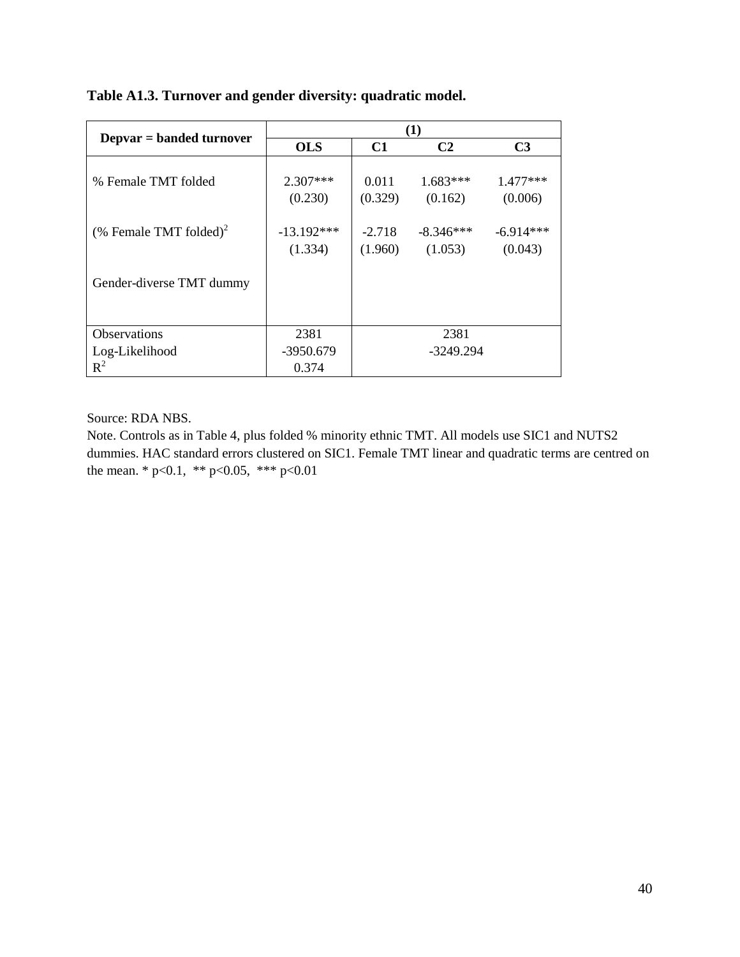|                                    |                         |                     | (1)                    |                        |
|------------------------------------|-------------------------|---------------------|------------------------|------------------------|
| Depvar = banded turnover           | <b>OLS</b>              | C1                  | C <sub>2</sub>         | C <sub>3</sub>         |
| % Female TMT folded                | $2.307***$<br>(0.230)   | 0.011<br>(0.329)    | $1.683***$<br>(0.162)  | $1.477***$<br>(0.006)  |
| (% Female TMT folded) <sup>2</sup> | $-13.192***$<br>(1.334) | $-2.718$<br>(1.960) | $-8.346***$<br>(1.053) | $-6.914***$<br>(0.043) |
| Gender-diverse TMT dummy           |                         |                     |                        |                        |
| Observations                       | 2381                    |                     | 2381                   |                        |
| Log-Likelihood                     | $-3950.679$             |                     | $-3249.294$            |                        |
| $R^2$                              | 0.374                   |                     |                        |                        |

**Table A1.3. Turnover and gender diversity: quadratic model.** 

Source: RDA NBS.

Note. Controls as in Table 4, plus folded % minority ethnic TMT. All models use SIC1 and NUTS2 dummies. HAC standard errors clustered on SIC1. Female TMT linear and quadratic terms are centred on the mean. \* p<0.1, \*\* p<0.05, \*\*\* p<0.01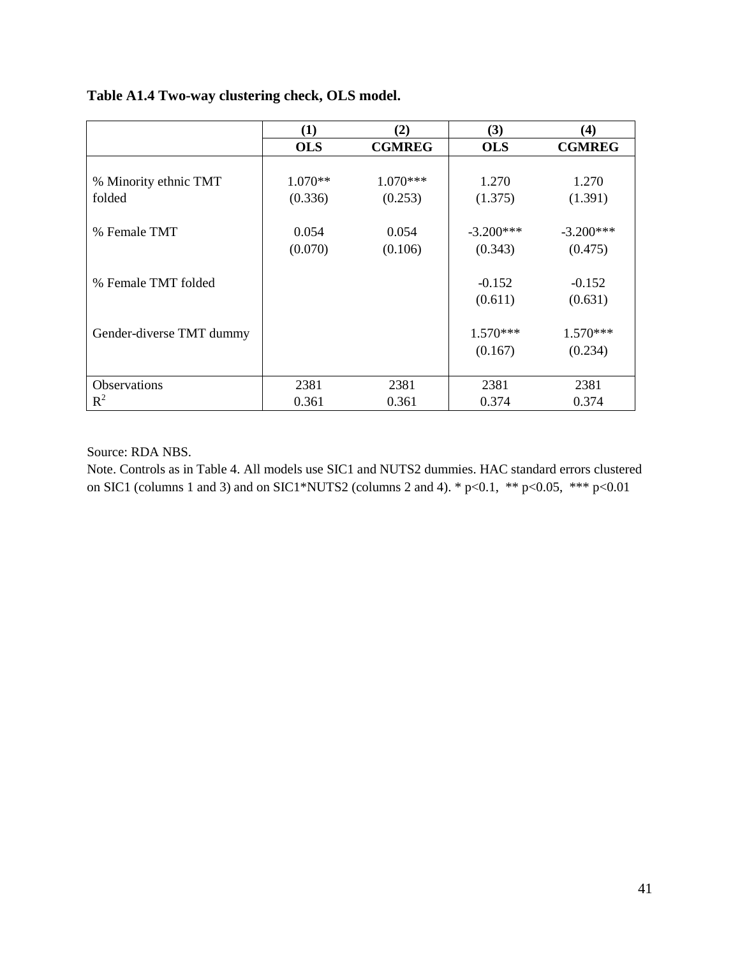|                          | $\bf(1)$   | (2)           | (3)         | $\bf(4)$      |
|--------------------------|------------|---------------|-------------|---------------|
|                          | <b>OLS</b> | <b>CGMREG</b> | <b>OLS</b>  | <b>CGMREG</b> |
|                          |            |               |             |               |
| % Minority ethnic TMT    | $1.070**$  | $1.070***$    | 1.270       | 1.270         |
| folded                   | (0.336)    | (0.253)       | (1.375)     | (1.391)       |
|                          |            |               |             |               |
| % Female TMT             | 0.054      | 0.054         | $-3.200***$ | $-3.200***$   |
|                          | (0.070)    | (0.106)       | (0.343)     | (0.475)       |
|                          |            |               |             |               |
| % Female TMT folded      |            |               | $-0.152$    | $-0.152$      |
|                          |            |               | (0.611)     | (0.631)       |
|                          |            |               |             |               |
| Gender-diverse TMT dummy |            |               | $1.570***$  | $1.570***$    |
|                          |            |               | (0.167)     | (0.234)       |
|                          |            |               |             |               |
| Observations             | 2381       | 2381          | 2381        | 2381          |
| $R^2$                    | 0.361      | 0.361         | 0.374       | 0.374         |

## **Table A1.4 Two-way clustering check, OLS model.**

Source: RDA NBS.

Note. Controls as in Table 4. All models use SIC1 and NUTS2 dummies. HAC standard errors clustered on SIC1 (columns 1 and 3) and on SIC1\*NUTS2 (columns 2 and 4). \*  $p<0.1$ , \*\*  $p<0.05$ , \*\*\*  $p<0.01$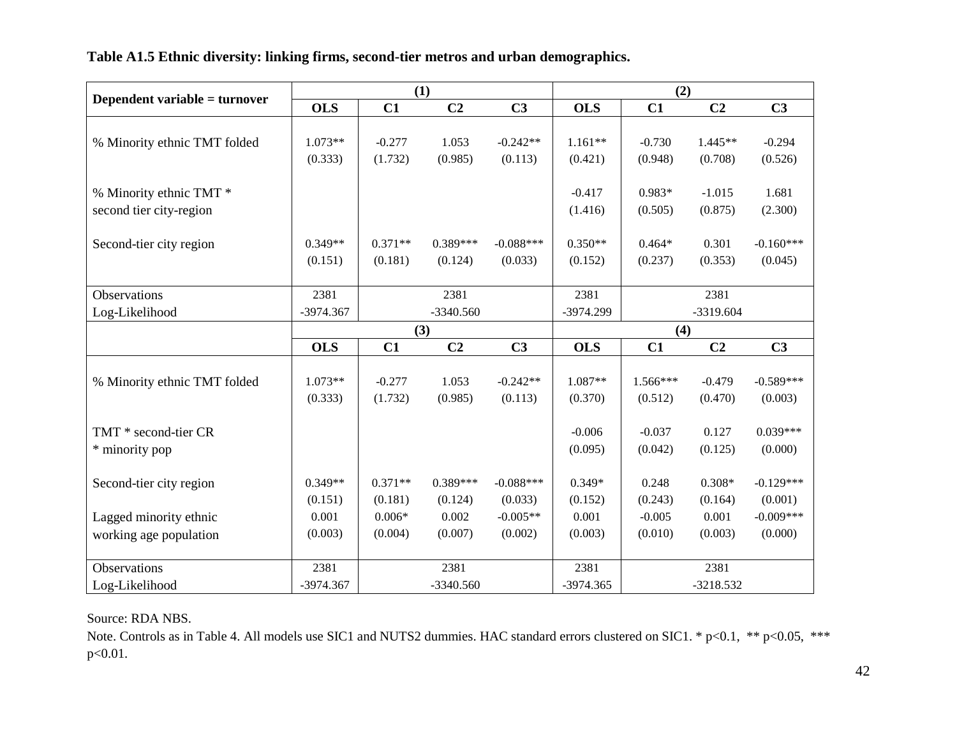**Table A1.5 Ethnic diversity: linking firms, second-tier metros and urban demographics.** 

|                               |            |           | (1)            |                | (2)        |             |                |                |
|-------------------------------|------------|-----------|----------------|----------------|------------|-------------|----------------|----------------|
| Dependent variable = turnover | <b>OLS</b> | C1        | C <sub>2</sub> | C <sub>3</sub> | <b>OLS</b> | C1          | C <sub>2</sub> | C <sub>3</sub> |
|                               |            |           |                |                |            |             |                |                |
| % Minority ethnic TMT folded  | 1.073**    | $-0.277$  | 1.053          | $-0.242**$     | $1.161**$  | $-0.730$    | $1.445**$      | $-0.294$       |
|                               | (0.333)    | (1.732)   | (0.985)        | (0.113)        | (0.421)    | (0.948)     | (0.708)        | (0.526)        |
|                               |            |           |                |                |            |             |                |                |
| % Minority ethnic TMT *       |            |           |                |                | $-0.417$   | $0.983*$    | $-1.015$       | 1.681          |
| second tier city-region       |            |           |                |                | (1.416)    | (0.505)     | (0.875)        | (2.300)        |
|                               |            |           |                |                |            |             |                |                |
| Second-tier city region       | $0.349**$  | $0.371**$ | $0.389***$     | $-0.088***$    | $0.350**$  | $0.464*$    | 0.301          | $-0.160***$    |
|                               | (0.151)    | (0.181)   | (0.124)        | (0.033)        | (0.152)    | (0.237)     | (0.353)        | (0.045)        |
|                               |            |           |                |                |            |             |                |                |
| Observations                  | 2381       |           | 2381           |                | 2381       |             | 2381           |                |
| Log-Likelihood                | -3974.367  |           | $-3340.560$    |                | -3974.299  | $-3319.604$ |                |                |
|                               |            | (3)       |                | (4)            |            |             |                |                |
|                               | <b>OLS</b> | C1        | C <sub>2</sub> | C <sub>3</sub> | <b>OLS</b> | C1          | C <sub>2</sub> | C <sub>3</sub> |
|                               |            |           |                |                |            |             |                |                |
| % Minority ethnic TMT folded  | $1.073**$  | $-0.277$  | 1.053          | $-0.242**$     | 1.087**    | 1.566***    | $-0.479$       | $-0.589***$    |
|                               | (0.333)    | (1.732)   | (0.985)        | (0.113)        | (0.370)    | (0.512)     | (0.470)        | (0.003)        |
|                               |            |           |                |                |            |             |                | $0.039***$     |
| TMT * second-tier CR          |            |           |                |                | $-0.006$   | $-0.037$    | 0.127          |                |
| * minority pop                |            |           |                |                | (0.095)    | (0.042)     | (0.125)        | (0.000)        |
| Second-tier city region       | $0.349**$  | $0.371**$ | 0.389***       | $-0.088***$    | $0.349*$   | 0.248       | $0.308*$       | $-0.129***$    |
|                               | (0.151)    | (0.181)   | (0.124)        | (0.033)        | (0.152)    | (0.243)     | (0.164)        | (0.001)        |
| Lagged minority ethnic        | 0.001      | $0.006*$  | 0.002          | $-0.005**$     | 0.001      | $-0.005$    | 0.001          | $-0.009***$    |
|                               |            | (0.004)   | (0.007)        | (0.002)        | (0.003)    | (0.010)     | (0.003)        | (0.000)        |
| working age population        | (0.003)    |           |                |                |            |             |                |                |
| <b>Observations</b>           | 2381       |           | 2381           |                | 2381       |             | 2381           |                |
| Log-Likelihood                | -3974.367  |           | $-3340.560$    |                | -3974.365  |             | $-3218.532$    |                |

### Source: RDA NBS.

Note. Controls as in Table 4. All models use SIC1 and NUTS2 dummies. HAC standard errors clustered on SIC1. \* p<0.1, \*\* p<0.05, \*\*\* p<0.01.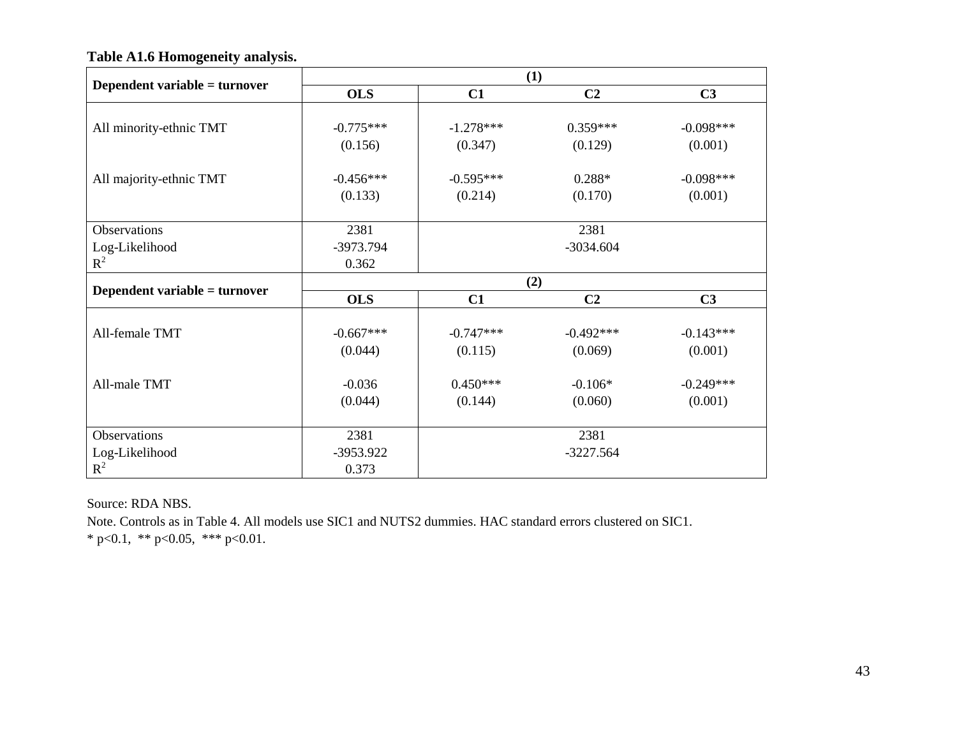|                               | (1)         |             |                |                |  |  |
|-------------------------------|-------------|-------------|----------------|----------------|--|--|
| Dependent variable = turnover | <b>OLS</b>  | C1          | C <sub>2</sub> | C <sub>3</sub> |  |  |
|                               |             |             |                |                |  |  |
| All minority-ethnic TMT       | $-0.775***$ | $-1.278***$ | $0.359***$     | $-0.098***$    |  |  |
|                               | (0.156)     | (0.347)     | (0.129)        | (0.001)        |  |  |
|                               |             |             |                |                |  |  |
| All majority-ethnic TMT       | $-0.456***$ | $-0.595***$ | $0.288*$       | $-0.098***$    |  |  |
|                               | (0.133)     | (0.214)     | (0.170)        | (0.001)        |  |  |
|                               |             |             |                |                |  |  |
| Observations                  | 2381        |             | 2381           |                |  |  |
| Log-Likelihood                | -3973.794   |             | $-3034.604$    |                |  |  |
| $R^2$                         | 0.362       |             |                |                |  |  |
| Dependent variable = turnover | (2)         |             |                |                |  |  |
|                               | <b>OLS</b>  | C1          | C <sub>2</sub> | C <sub>3</sub> |  |  |
|                               |             |             |                |                |  |  |
| All-female TMT                | $-0.667***$ | $-0.747***$ | $-0.492***$    | $-0.143***$    |  |  |
|                               | (0.044)     | (0.115)     | (0.069)        | (0.001)        |  |  |
|                               |             |             |                |                |  |  |
| All-male TMT                  | $-0.036$    | $0.450***$  | $-0.106*$      | $-0.249***$    |  |  |
|                               | (0.044)     | (0.144)     | (0.060)        | (0.001)        |  |  |
|                               |             |             |                |                |  |  |
| Observations                  | 2381        |             | 2381           |                |  |  |
| Log-Likelihood                | -3953.922   |             | $-3227.564$    |                |  |  |
| $R^2$                         | 0.373       |             |                |                |  |  |

**Table A1.6 Homogeneity analysis.** 

Source: RDA NBS.

Note. Controls as in Table 4. All models use SIC1 and NUTS2 dummies. HAC standard errors clustered on SIC1.

\* p<0.1, \*\* p<0.05, \*\*\* p<0.01.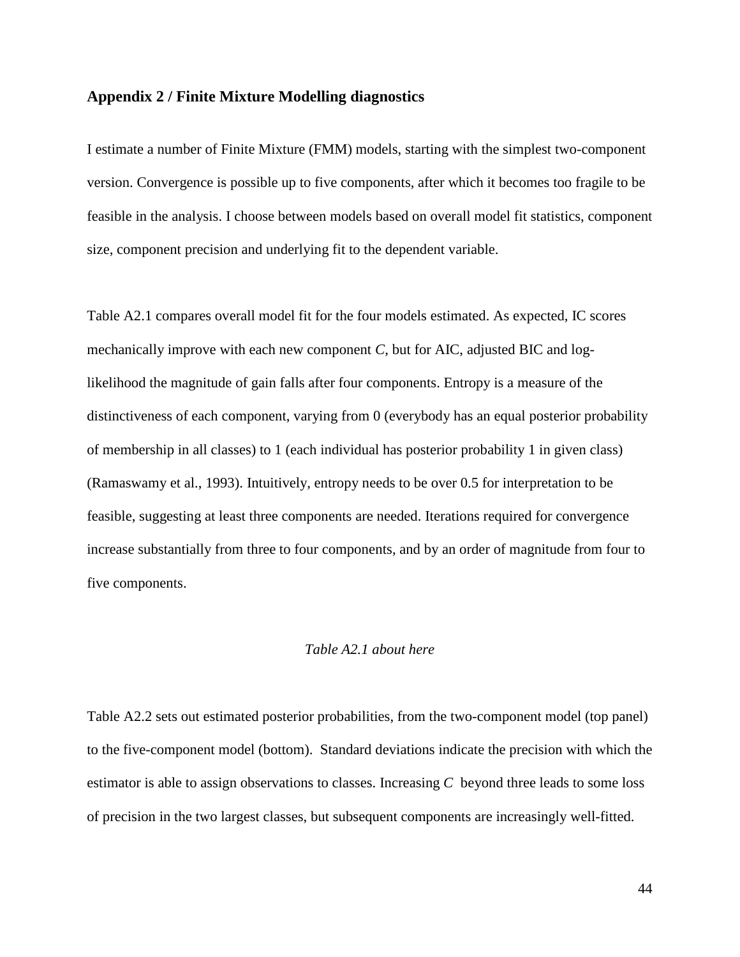#### **Appendix 2 / Finite Mixture Modelling diagnostics**

I estimate a number of Finite Mixture (FMM) models, starting with the simplest two-component version. Convergence is possible up to five components, after which it becomes too fragile to be feasible in the analysis. I choose between models based on overall model fit statistics, component size, component precision and underlying fit to the dependent variable.

Table A2.1 compares overall model fit for the four models estimated. As expected, IC scores mechanically improve with each new component  $C$ , but for AIC, adjusted BIC and loglikelihood the magnitude of gain falls after four components. Entropy is a measure of the distinctiveness of each component, varying from 0 (everybody has an equal posterior probability of membership in all classes) to 1 (each individual has posterior probability 1 in given class) [\(Ramaswamy et al., 1993\)](#page-38-13). Intuitively, entropy needs to be over 0.5 for interpretation to be feasible, suggesting at least three components are needed. Iterations required for convergence increase substantially from three to four components, and by an order of magnitude from four to five components.

#### *Table A2.1 about here*

Table A2.2 sets out estimated posterior probabilities, from the two-component model (top panel) to the five-component model (bottom). Standard deviations indicate the precision with which the estimator is able to assign observations to classes. Increasing *C* beyond three leads to some loss of precision in the two largest classes, but subsequent components are increasingly well-fitted.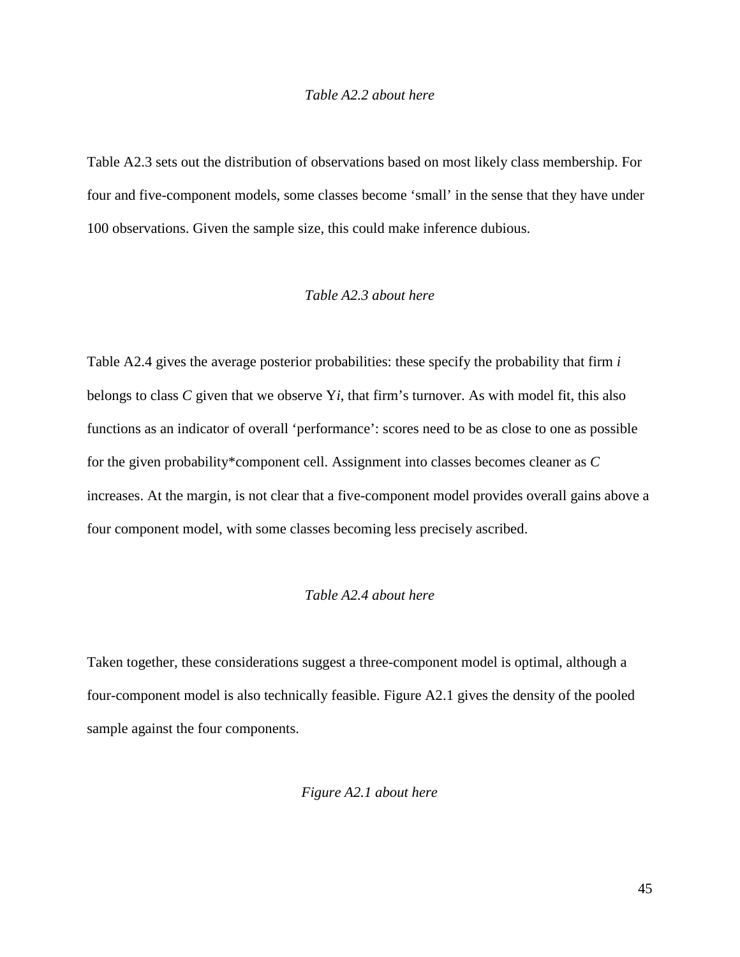#### *Table A2.2 about here*

Table A2.3 sets out the distribution of observations based on most likely class membership. For four and five-component models, some classes become 'small' in the sense that they have under 100 observations. Given the sample size, this could make inference dubious.

#### *Table A2.3 about here*

Table A2.4 gives the average posterior probabilities: these specify the probability that firm *i* belongs to class *C* given that we observe Y*i*, that firm's turnover. As with model fit, this also functions as an indicator of overall 'performance': scores need to be as close to one as possible for the given probability\*component cell. Assignment into classes becomes cleaner as *C* increases. At the margin, is not clear that a five-component model provides overall gains above a four component model, with some classes becoming less precisely ascribed.

#### *Table A2.4 about here*

Taken together, these considerations suggest a three-component model is optimal, although a four-component model is also technically feasible. Figure A2.1 gives the density of the pooled sample against the four components.

#### *Figure A2.1 about here*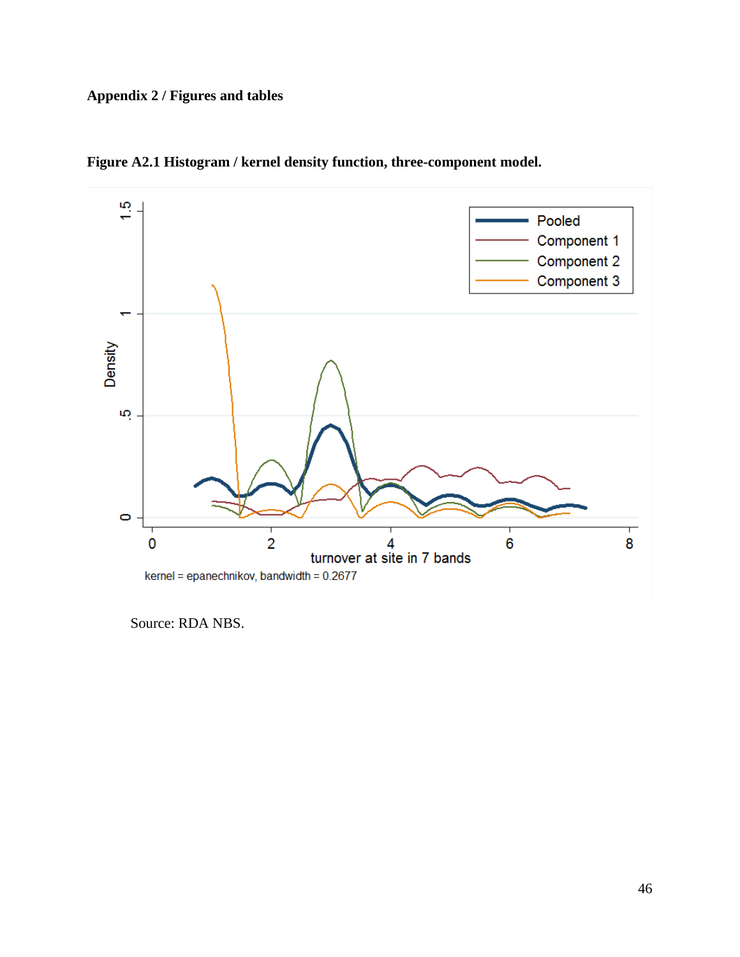# **Appendix 2 / Figures and tables**



**Figure A2.1 Histogram / kernel density function, three-component model.**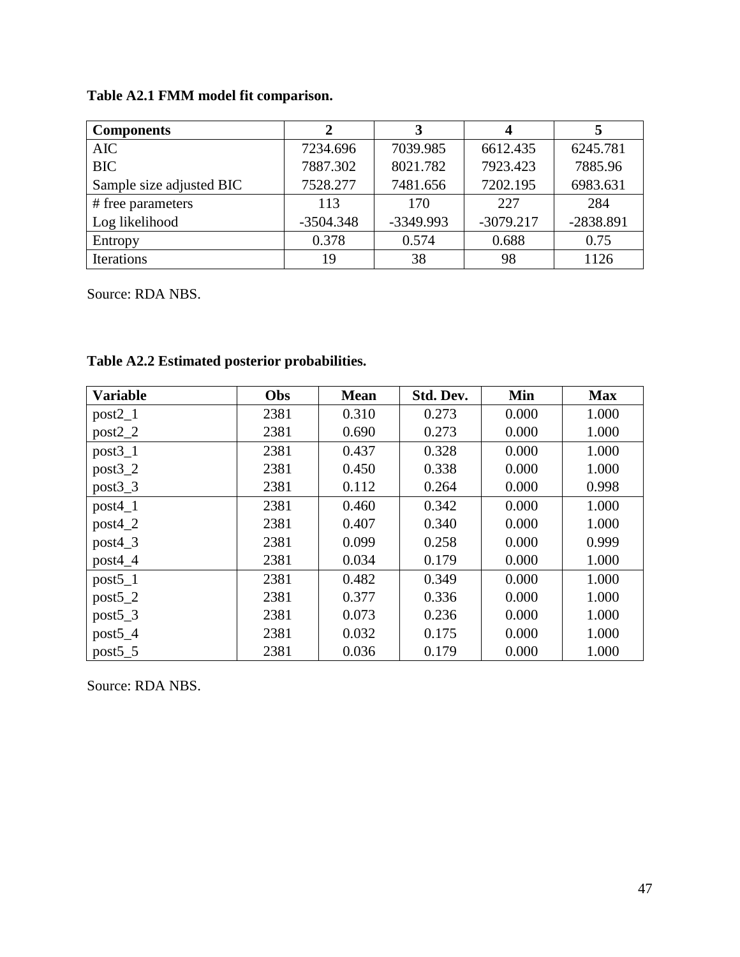|  | Table A2.1 FMM model fit comparison. |  |
|--|--------------------------------------|--|
|--|--------------------------------------|--|

| <b>Components</b>        |             | 3           |             |           |
|--------------------------|-------------|-------------|-------------|-----------|
| <b>AIC</b>               | 7234.696    | 7039.985    | 6612.435    | 6245.781  |
| <b>BIC</b>               | 7887.302    | 8021.782    | 7923.423    | 7885.96   |
| Sample size adjusted BIC | 7528.277    | 7481.656    | 7202.195    | 6983.631  |
| # free parameters        | 113         | 170         | 227         | 284       |
| Log likelihood           | $-3504.348$ | $-3349.993$ | $-3079.217$ | -2838.891 |
| Entropy                  | 0.378       | 0.574       | 0.688       | 0.75      |
| <b>Iterations</b>        | 19          | 38          | 98          | 1126      |

Source: RDA NBS.

| <b>Variable</b> | Obs  | <b>Mean</b> | Std. Dev. | Min   | <b>Max</b> |
|-----------------|------|-------------|-----------|-------|------------|
| $post2_1$       | 2381 | 0.310       | 0.273     | 0.000 | 1.000      |
| $post2_2$       | 2381 | 0.690       | 0.273     | 0.000 | 1.000      |
| $post3_1$       | 2381 | 0.437       | 0.328     | 0.000 | 1.000      |
| $post3_2$       | 2381 | 0.450       | 0.338     | 0.000 | 1.000      |
| $post3_3$       | 2381 | 0.112       | 0.264     | 0.000 | 0.998      |
| $post4_1$       | 2381 | 0.460       | 0.342     | 0.000 | 1.000      |
| $post4_2$       | 2381 | 0.407       | 0.340     | 0.000 | 1.000      |
| $post4_3$       | 2381 | 0.099       | 0.258     | 0.000 | 0.999      |
| $post4_4$       | 2381 | 0.034       | 0.179     | 0.000 | 1.000      |
| $post5_1$       | 2381 | 0.482       | 0.349     | 0.000 | 1.000      |
| $post5_2$       | 2381 | 0.377       | 0.336     | 0.000 | 1.000      |
| $post5_3$       | 2381 | 0.073       | 0.236     | 0.000 | 1.000      |
| $post5_4$       | 2381 | 0.032       | 0.175     | 0.000 | 1.000      |
| post5 5         | 2381 | 0.036       | 0.179     | 0.000 | 1.000      |